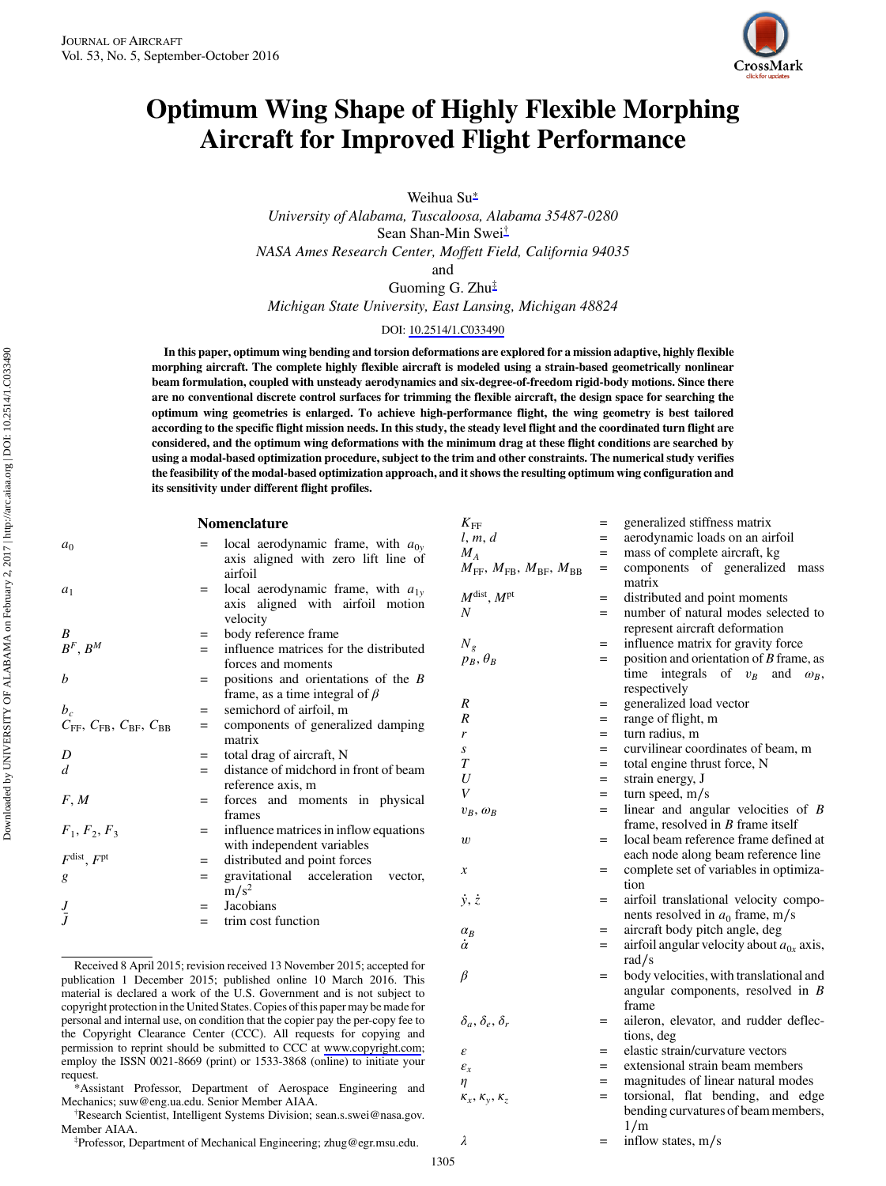

## Optimum Wing Shape of Highly Flexible Morphing Aircraft for Improved Flight Performance

Weihua Su<sup>∗</sup>

University of Alabama, Tuscaloosa, Alabama 35487-0280

Sean Shan-Min Swei†

NASA Ames Research Center, Moffett Field, California 94035

and

Guoming G. Zhu‡ Michigan State University, East Lansing, Michigan 48824

#### DOI: [10.2514/1.C033490](http://dx.doi.org/10.2514/1.C033490)

In this paper, optimum wing bending and torsion deformations are explored for a mission adaptive, highly flexible morphing aircraft. The complete highly flexible aircraft is modeled using a strain-based geometrically nonlinear beam formulation, coupled with unsteady aerodynamics and six-degree-of-freedom rigid-body motions. Since there are no conventional discrete control surfaces for trimming the flexible aircraft, the design space for searching the optimum wing geometries is enlarged. To achieve high-performance flight, the wing geometry is best tailored according to the specific flight mission needs. In this study, the steady level flight and the coordinated turn flight are considered, and the optimum wing deformations with the minimum drag at these flight conditions are searched by using a modal-based optimization procedure, subject to the trim and other constraints. The numerical study verifies the feasibility of the modal-based optimization approach, and it shows the resulting optimum wing configuration and its sensitivity under different flight profiles.

| aerodynamic loads on an airfoil<br>l, m, d<br>local aerodynamic frame, with $a_{0v}$<br>$=$<br>a <sub>0</sub><br>$M_A$<br>mass of complete aircraft, kg<br>$=$<br>axis aligned with zero lift line of<br>$M_{\text{FF}}$ , $M_{\text{FB}}$ , $M_{\text{BF}}$ , $M_{\text{BB}}$<br>$=$<br>airfoil<br>matrix<br>local aerodynamic frame, with $a_{1v}$<br>$a_1$<br>$=$<br>$M^{\text{dist}}$ , $M^{\text{pt}}$<br>distributed and point moments<br>$=$<br>axis aligned with airfoil motion<br>$\boldsymbol{N}$<br>number of natural modes selected to<br>$=$<br>velocity<br>represent aircraft deformation<br>B<br>body reference frame<br>$=$<br>$N_g$<br>influence matrix for gravity force<br>$=$<br>$B^F, B^M$<br>influence matrices for the distributed<br>$=$<br>$=$ | <b>Nomenclature</b> | $K_{\rm FF}$    | $=$ | generalized stiffness matrix                  |
|-------------------------------------------------------------------------------------------------------------------------------------------------------------------------------------------------------------------------------------------------------------------------------------------------------------------------------------------------------------------------------------------------------------------------------------------------------------------------------------------------------------------------------------------------------------------------------------------------------------------------------------------------------------------------------------------------------------------------------------------------------------------------|---------------------|-----------------|-----|-----------------------------------------------|
|                                                                                                                                                                                                                                                                                                                                                                                                                                                                                                                                                                                                                                                                                                                                                                         |                     |                 |     |                                               |
|                                                                                                                                                                                                                                                                                                                                                                                                                                                                                                                                                                                                                                                                                                                                                                         |                     |                 |     |                                               |
|                                                                                                                                                                                                                                                                                                                                                                                                                                                                                                                                                                                                                                                                                                                                                                         |                     |                 |     | components of generalized mass                |
|                                                                                                                                                                                                                                                                                                                                                                                                                                                                                                                                                                                                                                                                                                                                                                         |                     |                 |     |                                               |
|                                                                                                                                                                                                                                                                                                                                                                                                                                                                                                                                                                                                                                                                                                                                                                         |                     |                 |     |                                               |
|                                                                                                                                                                                                                                                                                                                                                                                                                                                                                                                                                                                                                                                                                                                                                                         |                     |                 |     |                                               |
|                                                                                                                                                                                                                                                                                                                                                                                                                                                                                                                                                                                                                                                                                                                                                                         |                     |                 |     |                                               |
|                                                                                                                                                                                                                                                                                                                                                                                                                                                                                                                                                                                                                                                                                                                                                                         |                     |                 |     |                                               |
|                                                                                                                                                                                                                                                                                                                                                                                                                                                                                                                                                                                                                                                                                                                                                                         | forces and moments  | $p_B, \theta_B$ |     | position and orientation of $B$ frame, as     |
| time integrals of $v_B$<br>and<br>b<br>positions and orientations of the $B$<br>$=$                                                                                                                                                                                                                                                                                                                                                                                                                                                                                                                                                                                                                                                                                     |                     |                 |     | $\omega_R$ ,                                  |
| respectively<br>frame, as a time integral of $\beta$                                                                                                                                                                                                                                                                                                                                                                                                                                                                                                                                                                                                                                                                                                                    |                     |                 |     |                                               |
| $\boldsymbol{R}$<br>generalized load vector<br>$=$<br>$b_c$<br>semichord of airfoil, m<br>$=$                                                                                                                                                                                                                                                                                                                                                                                                                                                                                                                                                                                                                                                                           |                     |                 |     |                                               |
| R<br>range of flight, m<br>$=$<br>components of generalized damping<br>$C_{\text{FF}}$ , $C_{\text{FB}}$ , $C_{\text{BF}}$ , $C_{\text{BB}}$<br>$=$                                                                                                                                                                                                                                                                                                                                                                                                                                                                                                                                                                                                                     |                     |                 |     |                                               |
| turn radius, m<br>$=$<br>r<br>matrix                                                                                                                                                                                                                                                                                                                                                                                                                                                                                                                                                                                                                                                                                                                                    |                     |                 |     |                                               |
| $\boldsymbol{S}$<br>$=$<br>total drag of aircraft, N<br>D<br>$=$                                                                                                                                                                                                                                                                                                                                                                                                                                                                                                                                                                                                                                                                                                        |                     |                 |     | curvilinear coordinates of beam, m            |
| $\boldsymbol{T}$<br>total engine thrust force, N<br>$=$<br>distance of midchord in front of beam<br>d<br>$=$                                                                                                                                                                                                                                                                                                                                                                                                                                                                                                                                                                                                                                                            |                     |                 |     |                                               |
| U<br>strain energy, J<br>$=$<br>reference axis, m                                                                                                                                                                                                                                                                                                                                                                                                                                                                                                                                                                                                                                                                                                                       |                     |                 |     |                                               |
| V<br>turn speed, $m/s$<br>$=$<br>F, M<br>forces and moments in physical<br>$=$                                                                                                                                                                                                                                                                                                                                                                                                                                                                                                                                                                                                                                                                                          |                     |                 |     |                                               |
| $=$<br>$v_B$ , $\omega_B$<br>frames                                                                                                                                                                                                                                                                                                                                                                                                                                                                                                                                                                                                                                                                                                                                     |                     |                 |     | linear and angular velocities of $B$          |
| frame, resolved in $B$ frame itself<br>influence matrices in inflow equations<br>$F_1, F_2, F_3$<br>$=$                                                                                                                                                                                                                                                                                                                                                                                                                                                                                                                                                                                                                                                                 |                     |                 |     |                                               |
| w<br>$=$<br>with independent variables                                                                                                                                                                                                                                                                                                                                                                                                                                                                                                                                                                                                                                                                                                                                  |                     |                 |     | local beam reference frame defined at         |
| $F^{\text{dist}}$ , $F^{\text{pt}}$<br>distributed and point forces<br>$=$                                                                                                                                                                                                                                                                                                                                                                                                                                                                                                                                                                                                                                                                                              |                     |                 |     | each node along beam reference line           |
| $\boldsymbol{\mathcal{X}}$<br>$=$<br>gravitational acceleration<br>vector.<br>$=$<br>g                                                                                                                                                                                                                                                                                                                                                                                                                                                                                                                                                                                                                                                                                  |                     |                 |     | complete set of variables in optimiza-        |
| tion<br>$m/s^2$                                                                                                                                                                                                                                                                                                                                                                                                                                                                                                                                                                                                                                                                                                                                                         |                     |                 |     |                                               |
| $\dot{y}, \dot{z}$<br>$=$<br>Jacobians<br>$J\over \bar J$<br>$=$                                                                                                                                                                                                                                                                                                                                                                                                                                                                                                                                                                                                                                                                                                        |                     |                 |     | airfoil translational velocity compo-         |
| nents resolved in $a_0$ frame, m/s<br>trim cost function<br>$=$                                                                                                                                                                                                                                                                                                                                                                                                                                                                                                                                                                                                                                                                                                         |                     |                 |     |                                               |
| aircraft body pitch angle, deg<br>$\alpha_B$<br>$=$<br>$\dot{\alpha}$                                                                                                                                                                                                                                                                                                                                                                                                                                                                                                                                                                                                                                                                                                   |                     |                 |     |                                               |
| $=$                                                                                                                                                                                                                                                                                                                                                                                                                                                                                                                                                                                                                                                                                                                                                                     |                     |                 |     | airfoil angular velocity about $a_{0x}$ axis, |
| rad/s<br>Received 8 April 2015; revision received 13 November 2015; accepted for                                                                                                                                                                                                                                                                                                                                                                                                                                                                                                                                                                                                                                                                                        |                     |                 |     |                                               |
| $\beta$<br>$=$<br>publication 1 December 2015; published online 10 March 2016. This                                                                                                                                                                                                                                                                                                                                                                                                                                                                                                                                                                                                                                                                                     |                     |                 |     | body velocities, with translational and       |
| material is declared a work of the U.S. Government and is not subject to<br>frame                                                                                                                                                                                                                                                                                                                                                                                                                                                                                                                                                                                                                                                                                       |                     |                 |     | angular components, resolved in $B$           |
| copyright protection in the United States. Copies of this paper may be made for<br>personal and internal use, on condition that the copier pay the per-copy fee to                                                                                                                                                                                                                                                                                                                                                                                                                                                                                                                                                                                                      |                     |                 |     | aileron, elevator, and rudder deflec-         |
| $\delta_a, \delta_e, \delta_r$<br>the Copyright Clearance Center (CCC). All requests for copying and<br>tions, deg                                                                                                                                                                                                                                                                                                                                                                                                                                                                                                                                                                                                                                                      |                     |                 |     |                                               |

employ the ISSN 0021-8669 (print) or  $1533-3868$  (online) to request. \*Assistant Professor, Department of Aerospace Engi Mechanics; suw@eng.ua.edu. Senior Member AIAA. †

<sup>†</sup>Research Scientist, Intelligent Systems Division; sean.s.sw Member AIAA.

Professor, Department of Mechanical Engineering; zhug@egr.msu.edu.

 $\lambda$  = inflow states, m/s

1305

| iuci cu, anu mc opi<br>g a modal-based op<br>easibility of the mo<br>nsitivity under dif | Nomenclat |  |
|------------------------------------------------------------------------------------------|-----------|--|
|                                                                                          | local ae  |  |
|                                                                                          | axis alis |  |
|                                                                                          | airfoil   |  |
|                                                                                          | local ae  |  |

|                               |                                |     | represent aircraft deformation                |
|-------------------------------|--------------------------------|-----|-----------------------------------------------|
| distributed                   | $N_g$                          | $=$ | influence matrix for gravity force            |
|                               | $p_B, \theta_B$                | $=$ | position and orientation of $B$ frame, as     |
| is of the $B$                 |                                |     | time integrals of $v_B$ and $\omega_B$ ,      |
| of $\beta$                    |                                |     | respectively                                  |
|                               | R                              | $=$ | generalized load vector                       |
| ed damping                    | R                              | $=$ | range of flight, m                            |
|                               | r                              | $=$ | turn radius, m                                |
|                               | S                              | $=$ | curvilinear coordinates of beam, m            |
| ont of beam                   | $\tau$                         | $=$ | total engine thrust force, N                  |
|                               | U                              | $=$ | strain energy, J                              |
|                               | V                              | $=$ | turn speed, $m/s$                             |
| n physical                    | $v_B$ , $\omega_B$             | $=$ | linear and angular velocities of $B$          |
|                               |                                |     | frame, resolved in $B$ frame itself           |
| w equations                   | w                              | $=$ | local beam reference frame defined at         |
| :S                            |                                |     | each node along beam reference line           |
| 5S                            | $\boldsymbol{x}$               | $=$ | complete set of variables in optimiza-        |
| )n<br>vector,                 |                                |     | tion                                          |
|                               | $\dot{y}, \dot{z}$             | $=$ | airfoil translational velocity compo-         |
|                               |                                |     | nents resolved in $a_0$ frame, m/s            |
|                               |                                | $=$ | aircraft body pitch angle, deg                |
|                               | $\alpha_R$<br>$\dot{\alpha}$   | $=$ | airfoil angular velocity about $a_{0x}$ axis, |
|                               |                                |     | rad/s                                         |
| ; accepted for                |                                |     |                                               |
| 2016. This                    | $\beta$                        | $=$ | body velocities, with translational and       |
| ot subject to                 |                                |     | angular components, resolved in $B$           |
| y be made for                 |                                |     | frame                                         |
| er-copy fee to                | $\delta_a, \delta_e, \delta_r$ | $=$ | aileron, elevator, and rudder deflec-         |
| copying and                   |                                |     | tions, deg                                    |
| pyright.com;<br>initiate your | $\mathcal{E}_{\mathcal{E}}$    | $=$ | elastic strain/curvature vectors              |
|                               | $\varepsilon_{x}$              | $=$ | extensional strain beam members               |
| neering and                   | $\eta$                         | $=$ | magnitudes of linear natural modes            |
|                               | $\kappa_x, \kappa_y, \kappa_z$ | $=$ | torsional, flat bending, and edge             |
| ei@nasa.gov.                  |                                |     | bending curvatures of beam members,           |
|                               |                                |     | 1/m                                           |

# permission to reprint should be submitted to CCC at www.co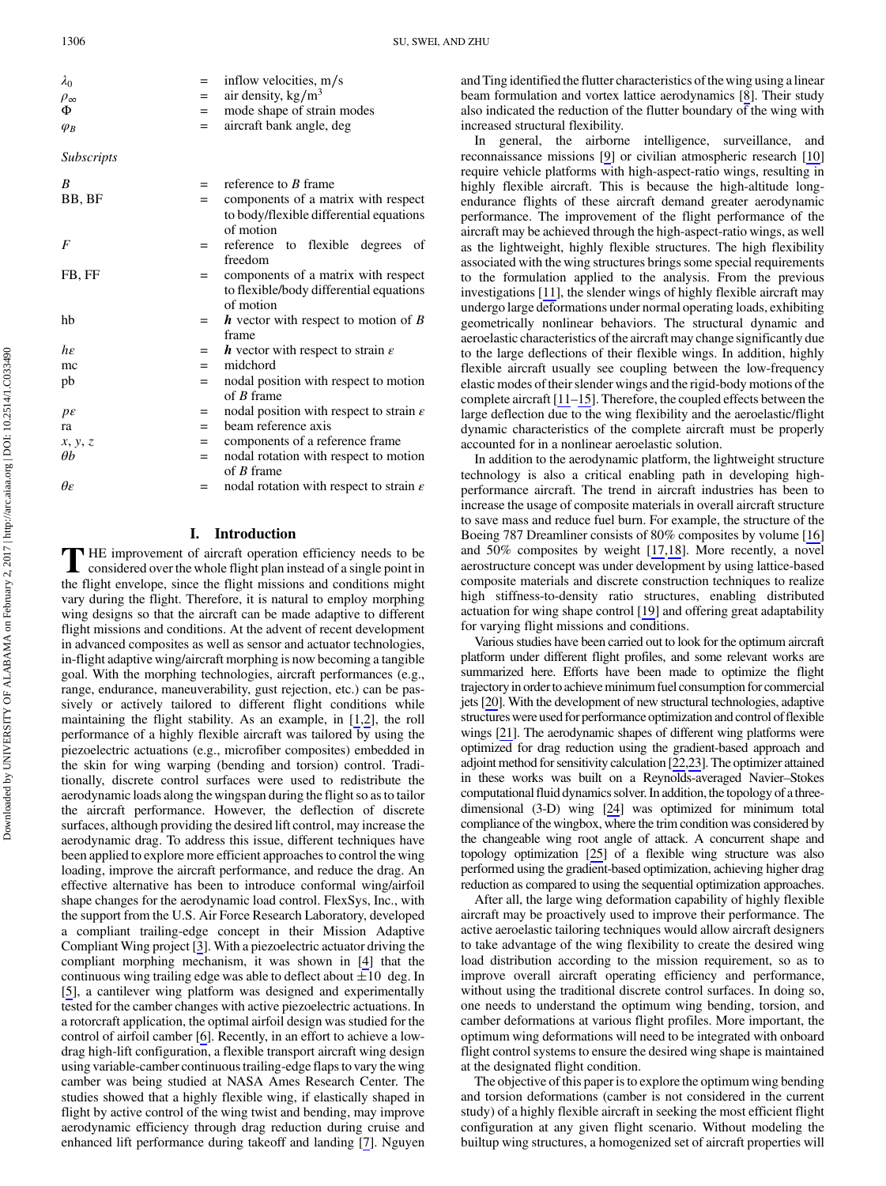$\lambda_0$  = inflow velocities, m/s<br>= air density kg/m<sup>3</sup>  $\rho_{\infty}$  = air density, kg/m<sup>3</sup><br>
= mode shape of stra mode shape of strain modes  $\varphi_B$  = aircraft bank angle, deg Subscripts  $B =$  reference to B frame BB, BF = components of a matrix with respect to body/flexible differential equations of motion  $F =$  reference to flexible degrees of freedom FB, FF = components of a matrix with respect to flexible/body differential equations of motion hb  $= h$  vector with respect to motion of B frame  $h \varepsilon$  = h vector with respect to strain  $\varepsilon$  $mc = midchord$ pb  $=$  nodal position with respect to motion of B frame  $p\varepsilon$  = nodal position with respect to strain  $\varepsilon$ ra  $=$  beam reference axis  $x, y, z$  = components of a reference frame  $\theta b$  = nodal rotation with respect to motion of B frame  $\theta \epsilon$  = nodal rotation with respect to strain  $\epsilon$ 

## I. Introduction

T HE improvement of aircraft operation efficiency needs to be considered over the whole flight plan instead of a single point in the flight envelope, since the flight missions and conditions might vary during the flight. Therefore, it is natural to employ morphing wing designs so that the aircraft can be made adaptive to different flight missions and conditions. At the advent of recent development in advanced composites as well as sensor and actuator technologies, in-flight adaptive wing/aircraft morphing is now becoming a tangible goal. With the morphing technologies, aircraft performances (e.g., range, endurance, maneuverability, gust rejection, etc.) can be passively or actively tailored to different flight conditions while maintaining the flight stability. As an example, in [[1,2\]](#page-10-0), the roll performance of a highly flexible aircraft was tailored by using the piezoelectric actuations (e.g., microfiber composites) embedded in the skin for wing warping (bending and torsion) control. Traditionally, discrete control surfaces were used to redistribute the aerodynamic loads along the wingspan during the flight so as to tailor the aircraft performance. However, the deflection of discrete surfaces, although providing the desired lift control, may increase the aerodynamic drag. To address this issue, different techniques have been applied to explore more efficient approaches to control the wing loading, improve the aircraft performance, and reduce the drag. An effective alternative has been to introduce conformal wing/airfoil shape changes for the aerodynamic load control. FlexSys, Inc., with the support from the U.S. Air Force Research Laboratory, developed a compliant trailing-edge concept in their Mission Adaptive Compliant Wing project [[3](#page-10-0)]. With a piezoelectric actuator driving the compliant morphing mechanism, it was shown in [\[4\]](#page-10-0) that the continuous wing trailing edge was able to deflect about  $\pm 10$  deg. In [\[5\]](#page-10-0), a cantilever wing platform was designed and experimentally tested for the camber changes with active piezoelectric actuations. In a rotorcraft application, the optimal airfoil design was studied for the control of airfoil camber [\[6\]](#page-10-0). Recently, in an effort to achieve a lowdrag high-lift configuration, a flexible transport aircraft wing design using variable-camber continuous trailing-edge flaps to vary the wing camber was being studied at NASA Ames Research Center. The studies showed that a highly flexible wing, if elastically shaped in flight by active control of the wing twist and bending, may improve aerodynamic efficiency through drag reduction during cruise and enhanced lift performance during takeoff and landing [[7](#page-10-0)]. Nguyen and Ting identified the flutter characteristics of the wing using a linear beam formulation and vortex lattice aerodynamics [[8](#page-10-0)]. Their study also indicated the reduction of the flutter boundary of the wing with increased structural flexibility.

In general, the airborne intelligence, surveillance, and reconnaissance missions [[9](#page-10-0)] or civilian atmospheric research [[10\]](#page-10-0) require vehicle platforms with high-aspect-ratio wings, resulting in highly flexible aircraft. This is because the high-altitude longendurance flights of these aircraft demand greater aerodynamic performance. The improvement of the flight performance of the aircraft may be achieved through the high-aspect-ratio wings, as well as the lightweight, highly flexible structures. The high flexibility associated with the wing structures brings some special requirements to the formulation applied to the analysis. From the previous investigations [\[11](#page-10-0)], the slender wings of highly flexible aircraft may undergo large deformations under normal operating loads, exhibiting geometrically nonlinear behaviors. The structural dynamic and aeroelastic characteristics of the aircraft may change significantly due to the large deflections of their flexible wings. In addition, highly flexible aircraft usually see coupling between the low-frequency elastic modes of their slender wings and the rigid-body motions of the complete aircraft [\[11](#page-10-0)–[15\]](#page-11-0). Therefore, the coupled effects between the large deflection due to the wing flexibility and the aeroelastic/flight dynamic characteristics of the complete aircraft must be properly accounted for in a nonlinear aeroelastic solution.

In addition to the aerodynamic platform, the lightweight structure technology is also a critical enabling path in developing highperformance aircraft. The trend in aircraft industries has been to increase the usage of composite materials in overall aircraft structure to save mass and reduce fuel burn. For example, the structure of the Boeing 787 Dreamliner consists of 80% composites by volume [[16\]](#page-11-0) and 50% composites by weight [[17,18](#page-11-0)]. More recently, a novel aerostructure concept was under development by using lattice-based composite materials and discrete construction techniques to realize high stiffness-to-density ratio structures, enabling distributed actuation for wing shape control [[19\]](#page-11-0) and offering great adaptability for varying flight missions and conditions.

Various studies have been carried out to look for the optimum aircraft platform under different flight profiles, and some relevant works are summarized here. Efforts have been made to optimize the flight trajectoryin orderto achieve minimum fuel consumption for commercial jets [\[20](#page-11-0)]. With the development of new structural technologies, adaptive structures were used for performance optimization and control of flexible wings [\[21\]](#page-11-0). The aerodynamic shapes of different wing platforms were optimized for drag reduction using the gradient-based approach and adjoint method for sensitivity calculation [\[22,23](#page-11-0)]. The optimizer attained in these works was built on a Reynolds-averaged Navier–Stokes computational fluid dynamics solver. In addition, the topology of a threedimensional (3-D) wing [[24](#page-11-0)] was optimized for minimum total compliance of the wingbox, where the trim condition was considered by the changeable wing root angle of attack. A concurrent shape and topology optimization [[25](#page-11-0)] of a flexible wing structure was also performed using the gradient-based optimization, achieving higher drag reduction as compared to using the sequential optimization approaches.

After all, the large wing deformation capability of highly flexible aircraft may be proactively used to improve their performance. The active aeroelastic tailoring techniques would allow aircraft designers to take advantage of the wing flexibility to create the desired wing load distribution according to the mission requirement, so as to improve overall aircraft operating efficiency and performance, without using the traditional discrete control surfaces. In doing so, one needs to understand the optimum wing bending, torsion, and camber deformations at various flight profiles. More important, the optimum wing deformations will need to be integrated with onboard flight control systems to ensure the desired wing shape is maintained at the designated flight condition.

The objective of this paper is to explore the optimum wing bending and torsion deformations (camber is not considered in the current study) of a highly flexible aircraft in seeking the most efficient flight configuration at any given flight scenario. Without modeling the builtup wing structures, a homogenized set of aircraft properties will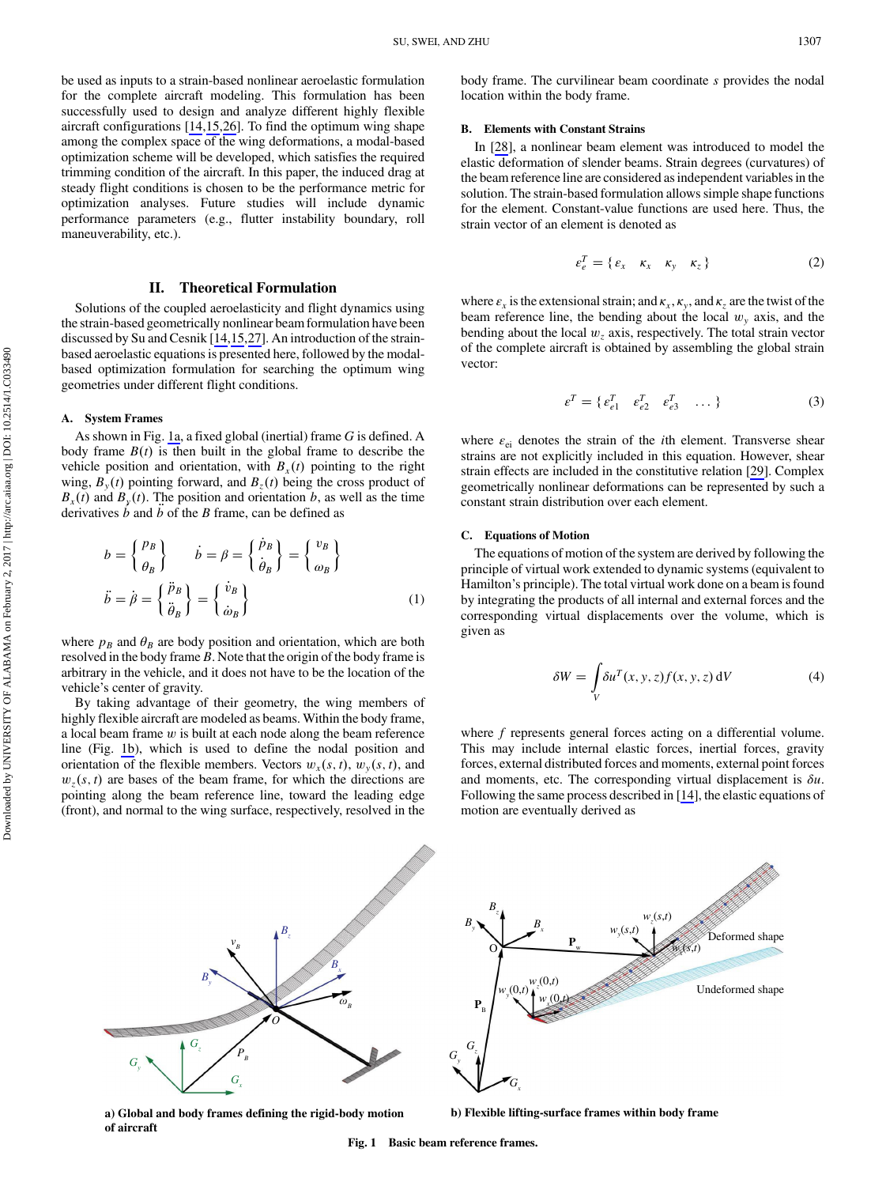<span id="page-2-0"></span>be used as inputs to a strain-based nonlinear aeroelastic formulation for the complete aircraft modeling. This formulation has been successfully used to design and analyze different highly flexible aircraft configurations [[14,](#page-10-0)[15,26](#page-11-0)]. To find the optimum wing shape among the complex space of the wing deformations, a modal-based optimization scheme will be developed, which satisfies the required trimming condition of the aircraft. In this paper, the induced drag at steady flight conditions is chosen to be the performance metric for optimization analyses. Future studies will include dynamic performance parameters (e.g., flutter instability boundary, roll maneuverability, etc.).

## II. Theoretical Formulation

Solutions of the coupled aeroelasticity and flight dynamics using the strain-based geometrically nonlinear beam formulation have been discussed by Su and Cesnik [\[14](#page-10-0)[,15](#page-11-0),[27\]](#page-11-0). An introduction of the strainbased aeroelastic equations is presented here, followed by the modalbased optimization formulation for searching the optimum wing geometries under different flight conditions.

#### A. System Frames

As shown in Fig. 1a, a fixed global (inertial) frame G is defined. A body frame  $B(t)$  is then built in the global frame to describe the vehicle position and orientation, with  $B_x(t)$  pointing to the right wing,  $B_y(t)$  pointing forward, and  $B_z(t)$  being the cross product of  $B<sub>x</sub>(t)$  and  $B<sub>y</sub>(t)$ . The position and orientation b, as well as the time derivatives  $b$  and  $b$  of the  $B$  frame, can be defined as

$$
b = \begin{Bmatrix} p_B \\ \theta_B \end{Bmatrix} \qquad \dot{b} = \beta = \begin{Bmatrix} \dot{p}_B \\ \dot{\theta}_B \end{Bmatrix} = \begin{Bmatrix} v_B \\ \omega_B \end{Bmatrix}
$$

$$
\ddot{b} = \dot{\beta} = \begin{Bmatrix} \ddot{p}_B \\ \ddot{\theta}_B \end{Bmatrix} = \begin{Bmatrix} \dot{v}_B \\ \dot{\omega}_B \end{Bmatrix}
$$
(1)

where  $p_B$  and  $\theta_B$  are body position and orientation, which are both resolved in the body frame  $B$ . Note that the origin of the body frame is arbitrary in the vehicle, and it does not have to be the location of the vehicle's center of gravity.

By taking advantage of their geometry, the wing members of highly flexible aircraft are modeled as beams. Within the body frame, a local beam frame  $w$  is built at each node along the beam reference line (Fig. 1b), which is used to define the nodal position and orientation of the flexible members. Vectors  $w_x(s, t)$ ,  $w_y(s, t)$ , and  $w_z(s, t)$  are bases of the beam frame, for which the directions are pointing along the beam reference line, toward the leading edge (front), and normal to the wing surface, respectively, resolved in the body frame. The curvilinear beam coordinate  $s$  provides the nodal location within the body frame.

#### B. Elements with Constant Strains

In [[28\]](#page-11-0), a nonlinear beam element was introduced to model the elastic deformation of slender beams. Strain degrees (curvatures) of the beam reference line are considered as independent variables in the solution. The strain-based formulation allows simple shape functions for the element. Constant-value functions are used here. Thus, the strain vector of an element is denoted as

$$
\varepsilon_e^T = \{ \varepsilon_x \quad \kappa_x \quad \kappa_y \quad \kappa_z \}
$$
 (2)

where  $\varepsilon_x$  is the extensional strain; and  $\kappa_x$ ,  $\kappa_y$ , and  $\kappa_z$  are the twist of the beam reference line, the bending about the local  $w<sub>v</sub>$  axis, and the bending about the local  $w_z$  axis, respectively. The total strain vector of the complete aircraft is obtained by assembling the global strain vector:

$$
\varepsilon^T = \{ \varepsilon_{e1}^T \quad \varepsilon_{e2}^T \quad \varepsilon_{e3}^T \quad \dots \}
$$
 (3)

where  $\varepsilon_{ei}$  denotes the strain of the *i*th element. Transverse shear strains are not explicitly included in this equation. However, shear strain effects are included in the constitutive relation [[29\]](#page-11-0). Complex geometrically nonlinear deformations can be represented by such a constant strain distribution over each element.

#### C. Equations of Motion

The equations of motion of the system are derived by following the principle of virtual work extended to dynamic systems (equivalent to Hamilton's principle). The total virtual work done on a beam is found by integrating the products of all internal and external forces and the corresponding virtual displacements over the volume, which is given as

$$
\delta W = \int_{V} \delta u^{T}(x, y, z) f(x, y, z) \, dV \tag{4}
$$

where f represents general forces acting on a differential volume. This may include internal elastic forces, inertial forces, gravity forces, external distributed forces and moments, external point forces and moments, etc. The corresponding virtual displacement is  $\delta u$ . Following the same process described in [\[14](#page-10-0)], the elastic equations of motion are eventually derived as



**a) Global and body frames defining the rigid-body motion of aircraft**

**b) Flexible lifting-surface frames within body frame**

Fig. 1 Basic beam reference frames.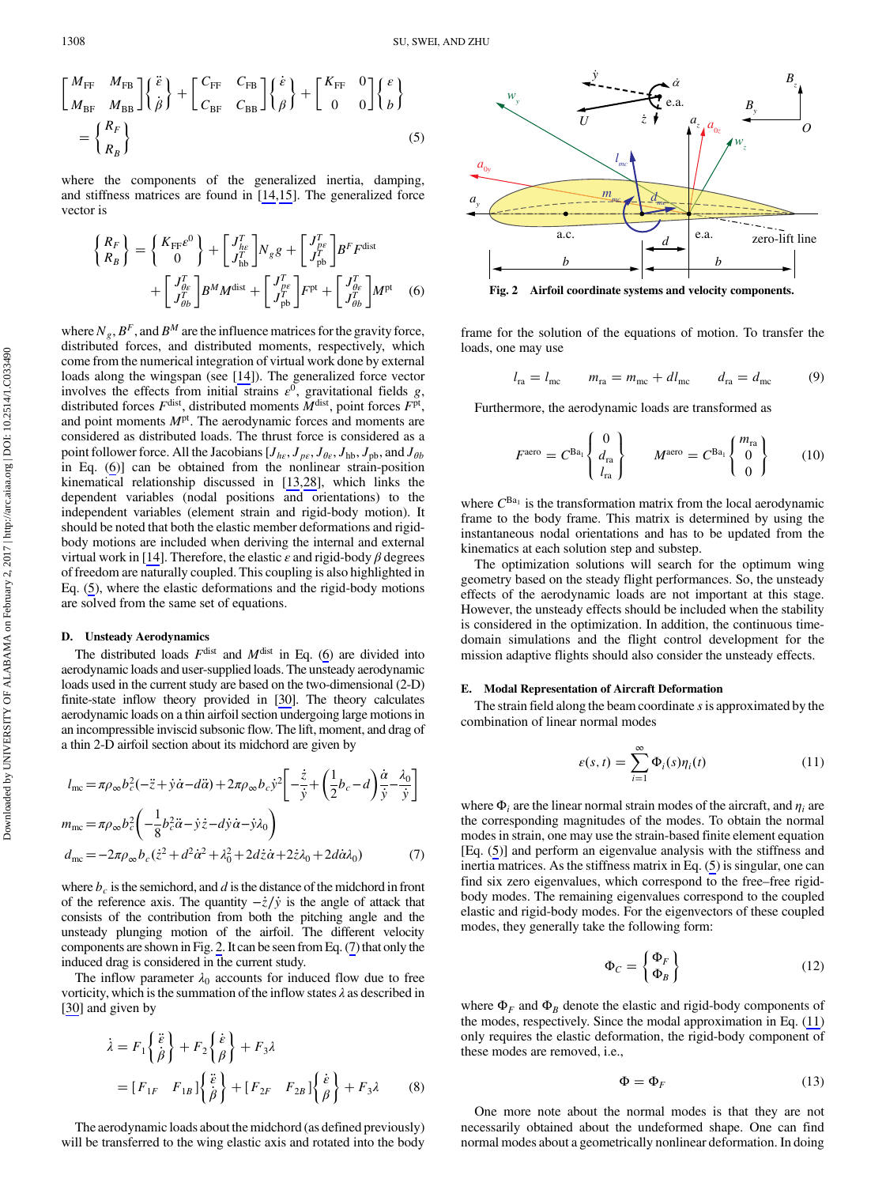$$
\begin{bmatrix} M_{\text{FF}} & M_{\text{FB}} \\ M_{\text{BF}} & M_{\text{BB}} \end{bmatrix} \begin{Bmatrix} \ddot{\hat{e}} \\ \dot{\beta} \end{Bmatrix} + \begin{bmatrix} C_{\text{FF}} & C_{\text{FB}} \\ C_{\text{BF}} & C_{\text{BB}} \end{bmatrix} \begin{Bmatrix} \dot{e} \\ \beta \end{Bmatrix} + \begin{bmatrix} K_{\text{FF}} & 0 \\ 0 & 0 \end{bmatrix} \begin{Bmatrix} \epsilon \\ b \end{Bmatrix} = \begin{Bmatrix} R_F \\ R_B \end{Bmatrix} \tag{5}
$$

where the components of the generalized inertia, damping, and stiffness matrices are found in [[14](#page-10-0)[,15](#page-11-0)]. The generalized force vector is

$$
\begin{aligned}\n\begin{Bmatrix}\nR_F \\
R_B\n\end{Bmatrix} &= \begin{Bmatrix}\nK_{\text{FF}}e^0 \\
0\n\end{Bmatrix} + \begin{bmatrix}\nJ_{he}^T \\
J_{\text{hb}}^T\n\end{bmatrix} N_g g + \begin{bmatrix}\nJ_{pe}^T \\
J_{\text{pb}}^T\n\end{bmatrix} B^F F^{\text{dist}} \\
&+ \begin{bmatrix}\nJ_{ae}^T \\
J_{\theta b}^T\n\end{bmatrix} B^M M^{\text{dist}} + \begin{bmatrix}\nJ_{pe}^T \\
J_{\text{pb}}^T\n\end{bmatrix} F^{\text{pt}} + \begin{bmatrix}\nJ_{be}^T \\
J_{\theta b}^T\n\end{bmatrix} M^{\text{pt}} \n\end{aligned} (6)
$$

where  $N_g$ ,  $B^F$ , and  $B^M$  are the influence matrices for the gravity force, distributed forces, and distributed moments, respectively, which come from the numerical integration of virtual work done by external loads along the wingspan (see [[14\]](#page-10-0)). The generalized force vector involves the effects from initial strains  $\varepsilon^0$ , gravitational fields g, distributed forces  $F^{\text{dist}}$ , distributed moments  $\tilde{M}^{\text{dist}}$ , point forces  $F^{\text{pt}}$ , and point moments  $M<sup>pt</sup>$ . The aerodynamic forces and moments are considered as distributed loads. The thrust force is considered as a point follower force. All the Jacobians  $[J_{he}, J_{pe}, J_{\theta e}, J_{hb}, J_{pb}$ , and  $J_{\theta b}$ in Eq. (6)] can be obtained from the nonlinear strain-position kinematical relationship discussed in [\[13](#page-10-0)[,28](#page-11-0)], which links the dependent variables (nodal positions and orientations) to the independent variables (element strain and rigid-body motion). It should be noted that both the elastic member deformations and rigidbody motions are included when deriving the internal and external virtual work in [[14\]](#page-10-0). Therefore, the elastic  $\varepsilon$  and rigid-body  $\beta$  degrees of freedom are naturally coupled. This coupling is also highlighted in Eq. [\(5\)](#page-2-0), where the elastic deformations and the rigid-body motions are solved from the same set of equations.

#### D. Unsteady Aerodynamics

The distributed loads  $F^{\text{dist}}$  and  $M^{\text{dist}}$  in Eq. (6) are divided into aerodynamic loads and user-supplied loads. The unsteady aerodynamic loads used in the current study are based on the two-dimensional (2-D) finite-state inflow theory provided in [\[30\]](#page-11-0). The theory calculates aerodynamic loads on a thin airfoil section undergoing large motions in an incompressible inviscid subsonic flow. The lift, moment, and drag of a thin 2-D airfoil section about its midchord are given by

$$
l_{\text{mc}} = \pi \rho_{\infty} b_c^2 (-\ddot{z} + \dot{y}\dot{\alpha} - d\ddot{\alpha}) + 2\pi \rho_{\infty} b_c \dot{y}^2 \left[ -\frac{\dot{z}}{\dot{y}} + \left(\frac{1}{2}b_c - d\right) \frac{\dot{\alpha}}{\dot{y}} - \frac{\lambda_0}{\dot{y}} \right]
$$
  
\n
$$
m_{\text{mc}} = \pi \rho_{\infty} b_c^2 \left( -\frac{1}{8} b_c^2 \ddot{\alpha} - \dot{y}\dot{z} - d\dot{y}\dot{\alpha} - \dot{y}\lambda_0 \right)
$$
  
\n
$$
d_{\text{mc}} = -2\pi \rho_{\infty} b_c (\dot{z}^2 + d^2 \dot{\alpha}^2 + \lambda_0^2 + 2d\dot{z}\dot{\alpha} + 2\dot{z}\lambda_0 + 2d\dot{\alpha}\lambda_0)
$$
(7)

where  $b_c$  is the semichord, and d is the distance of the midchord in front of the reference axis. The quantity  $-\dot{z}/\dot{y}$  is the angle of attack that consists of the contribution from both the pitching angle and the unsteady plunging motion of the airfoil. The different velocity components are shown in Fig. 2. It can be seen from Eq. (7) that only the induced drag is considered in the current study.

The inflow parameter  $\lambda_0$  accounts for induced flow due to free vorticity, which is the summation of the inflow states  $\lambda$  as described in [\[30](#page-11-0)] and given by

$$
\dot{\lambda} = F_1 \left\{ \begin{aligned} \ddot{\tilde{e}} \\ \dot{\tilde{\beta}} \end{aligned} \right\} + F_2 \left\{ \begin{aligned} \dot{\tilde{e}} \\ \beta \end{aligned} \right\} + F_3 \lambda \n= [F_{1F} \quad F_{1B}] \left\{ \begin{aligned} \ddot{\tilde{e}} \\ \dot{\beta} \end{aligned} \right\} + [F_{2F} \quad F_{2B}] \left\{ \begin{aligned} \dot{\tilde{e}} \\ \beta \end{aligned} \right\} + F_3 \lambda
$$
\n(8)

The aerodynamic loads about the midchord (as defined previously) will be transferred to the wing elastic axis and rotated into the body



Fig. 2 Airfoil coordinate systems and velocity components.

frame for the solution of the equations of motion. To transfer the loads, one may use

$$
l_{\rm ra} = l_{\rm mc} \qquad m_{\rm ra} = m_{\rm mc} + d l_{\rm mc} \qquad d_{\rm ra} = d_{\rm mc} \qquad (9)
$$

Furthermore, the aerodynamic loads are transformed as

$$
F^{\text{aero}} = C^{\text{Ba}_1} \begin{Bmatrix} 0 \\ d_{\text{ra}} \\ l_{\text{ra}} \end{Bmatrix} \qquad M^{\text{aero}} = C^{\text{Ba}_1} \begin{Bmatrix} m_{\text{ra}} \\ 0 \\ 0 \end{Bmatrix} \qquad (10)
$$

where  $C^{Ba_1}$  is the transformation matrix from the local aerodynamic frame to the body frame. This matrix is determined by using the instantaneous nodal orientations and has to be updated from the kinematics at each solution step and substep.

The optimization solutions will search for the optimum wing geometry based on the steady flight performances. So, the unsteady effects of the aerodynamic loads are not important at this stage. However, the unsteady effects should be included when the stability is considered in the optimization. In addition, the continuous timedomain simulations and the flight control development for the mission adaptive flights should also consider the unsteady effects.

#### E. Modal Representation of Aircraft Deformation

The strain field along the beam coordinate s is approximated by the combination of linear normal modes

$$
\varepsilon(s,t) = \sum_{i=1}^{\infty} \Phi_i(s)\eta_i(t) \tag{11}
$$

where  $\Phi_i$  are the linear normal strain modes of the aircraft, and  $\eta_i$  are the corresponding magnitudes of the modes. To obtain the normal modes in strain, one may use the strain-based finite element equation [Eq. [\(5\)](#page-2-0)] and perform an eigenvalue analysis with the stiffness and inertia matrices. As the stiffness matrix in Eq. [\(5\)](#page-2-0) is singular, one can find six zero eigenvalues, which correspond to the free–free rigidbody modes. The remaining eigenvalues correspond to the coupled elastic and rigid-body modes. For the eigenvectors of these coupled modes, they generally take the following form:

$$
\Phi_C = \begin{Bmatrix} \Phi_F \\ \Phi_B \end{Bmatrix} \tag{12}
$$

where  $\Phi_F$  and  $\Phi_B$  denote the elastic and rigid-body components of the modes, respectively. Since the modal approximation in Eq. (11) only requires the elastic deformation, the rigid-body component of these modes are removed, i.e.,

$$
\Phi = \Phi_F \tag{13}
$$

One more note about the normal modes is that they are not necessarily obtained about the undeformed shape. One can find normal modes about a geometrically nonlinear deformation. In doing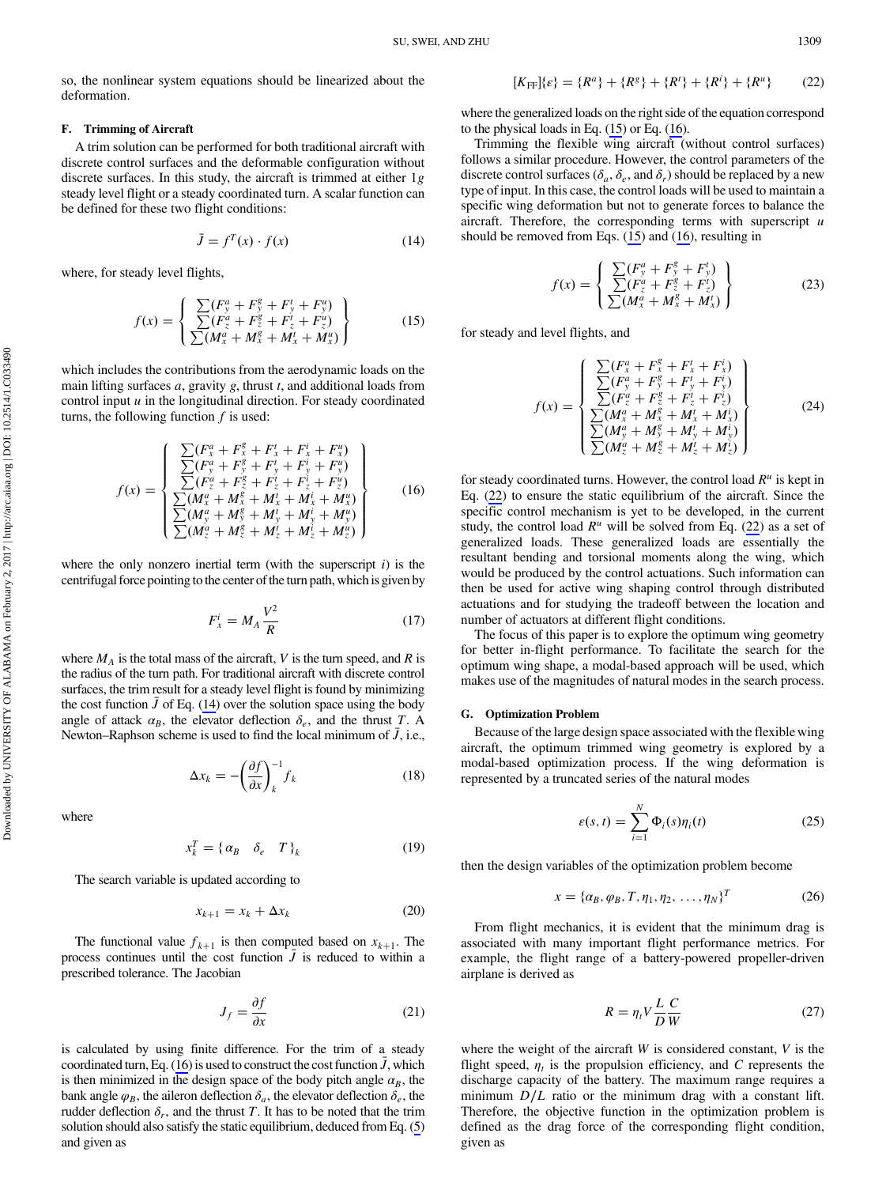<span id="page-4-0"></span>so, the nonlinear system equations should be linearized about the deformation.

#### F. Trimming of Aircraft

A trim solution can be performed for both traditional aircraft with discrete control surfaces and the deformable configuration without discrete surfaces. In this study, the aircraft is trimmed at either 1g steady level flight or a steady coordinated turn. A scalar function can be defined for these two flight conditions:

$$
\bar{J} = f^T(x) \cdot f(x) \tag{14}
$$

where, for steady level flights,

$$
f(x) = \begin{cases} \sum (F_y^a + F_y^g + F_y' + F_y'') \\ \sum (F_z^a + F_z^g + F_z' + F_z'') \\ \sum (M_x^a + M_x^g + M_x' + M_x'') \end{cases}
$$
 (15)

which includes the contributions from the aerodynamic loads on the main lifting surfaces  $a$ , gravity  $g$ , thrust  $t$ , and additional loads from control input  $u$  in the longitudinal direction. For steady coordinated turns, the following function  $f$  is used:

$$
f(x) = \begin{cases} \frac{\sum (F_x^a + F_x^g + F_x^t + F_x^i + F_y^u)}{\sum (F_y^a + F_y^g + F_y^t + F_y^i + F_y^u)} \\ \frac{\sum (F_x^a + F_z^g + F_z^t + F_z^i + F_z^u)}{\sum (M_x^a + M_x^g + M_x^t + M_x^i + M_y^u)} \\ \frac{\sum (M_y^a + M_y^g + M_y^u + M_y^i + M_y^u)}{\sum (M_x^a + M_z^g + M_z^i + M_z^i + M_z^u)} \end{cases}
$$
(16)

where the only nonzero inertial term (with the superscript  $i$ ) is the centrifugal force pointing to the center of the turn path, which is given by

$$
F_x^i = M_A \frac{V^2}{R} \tag{17}
$$

where  $M_A$  is the total mass of the aircraft, V is the turn speed, and R is the radius of the turn path. For traditional aircraft with discrete control surfaces, the trim result for a steady level flight is found by minimizing the cost function  $\bar{J}$  of Eq. (14) over the solution space using the body angle of attack  $\alpha_B$ , the elevator deflection  $\delta_e$ , and the thrust T. A Newton–Raphson scheme is used to find the local minimum of  $\bar{J}$ , i.e.,

$$
\Delta x_k = -\left(\frac{\partial f}{\partial x}\right)_k^{-1} f_k \tag{18}
$$

where

$$
x_k^T = \{ \alpha_B \quad \delta_e \quad T \}_k \tag{19}
$$

The search variable is updated according to

$$
x_{k+1} = x_k + \Delta x_k \tag{20}
$$

The functional value  $f_{k+1}$  is then computed based on  $x_{k+1}$ . The process continues until the cost function  $\overline{J}$  is reduced to within a prescribed tolerance. The Jacobian

$$
J_f = \frac{\partial f}{\partial x} \tag{21}
$$

is calculated by using finite difference. For the trim of a steady coordinated turn, Eq. (16) is used to construct the cost function  $\bar{J}$ , which is then minimized in the design space of the body pitch angle  $\alpha_B$ , the bank angle  $\varphi_B$ , the aileron deflection  $\delta_a$ , the elevator deflection  $\delta_e$ , the rudder deflection  $\delta_r$ , and the thrust T. It has to be noted that the trim solution should also satisfy the static equilibrium, deduced from Eq. [\(5\)](#page-2-0) and given as

$$
[K_{\text{FF}}]\{\varepsilon\} = \{R^a\} + \{R^g\} + \{R^i\} + \{R^i\} + \{R^u\} \tag{22}
$$

where the generalized loads on the right side of the equation correspond to the physical loads in Eq. (15) or Eq. (16).

Trimming the flexible wing aircraft (without control surfaces) follows a similar procedure. However, the control parameters of the discrete control surfaces ( $\delta_a$ ,  $\delta_e$ , and  $\delta_r$ ) should be replaced by a new type of input. In this case, the control loads will be used to maintain a specific wing deformation but not to generate forces to balance the aircraft. Therefore, the corresponding terms with superscript  $u$ should be removed from Eqs. (15) and (16), resulting in

$$
f(x) = \begin{cases} \sum (F_y^a + F_y^g + F_y^t) \\ \sum (F_z^a + F_z^g + F_z^t) \\ \sum (M_x^a + M_x^g + M_x^t) \end{cases}
$$
 (23)

for steady and level flights, and

$$
f(x) = \begin{cases} \frac{\sum (F_x^{\alpha} + F_x^{\beta} + F_x^{\prime} + F_x^{\prime})}{\sum (F_y^{\alpha} + F_y^{\beta} + F_y^{\prime} + F_y^{\prime})} \\ \frac{\sum (F_x^{\alpha} + F_z^{\beta} + F_z^{\prime} + F_z^{\prime})}{\sum (M_x^{\alpha} + M_x^{\beta} + M_x^{\prime} + M_x^{\prime})} \\ \frac{\sum (M_y^{\alpha} + M_y^{\beta} + M_y^{\prime} + M_y^{\prime})}{\sum (M_z^{\alpha} + M_z^{\alpha} + M_z^{\prime} + M_z^{\prime})} \end{cases}
$$
(24)

for steady coordinated turns. However, the control load  $R<sup>u</sup>$  is kept in Eq. (22) to ensure the static equilibrium of the aircraft. Since the specific control mechanism is yet to be developed, in the current study, the control load  $R^u$  will be solved from Eq. (22) as a set of generalized loads. These generalized loads are essentially the resultant bending and torsional moments along the wing, which would be produced by the control actuations. Such information can then be used for active wing shaping control through distributed actuations and for studying the tradeoff between the location and number of actuators at different flight conditions.

The focus of this paper is to explore the optimum wing geometry for better in-flight performance. To facilitate the search for the optimum wing shape, a modal-based approach will be used, which makes use of the magnitudes of natural modes in the search process.

#### G. Optimization Problem

Because of the large design space associated with the flexible wing aircraft, the optimum trimmed wing geometry is explored by a modal-based optimization process. If the wing deformation is represented by a truncated series of the natural modes

$$
\varepsilon(s,t) = \sum_{i=1}^{N} \Phi_i(s)\eta_i(t)
$$
 (25)

then the design variables of the optimization problem become

$$
x = {\alpha_B, \varphi_B, T, \eta_1, \eta_2, \dots, \eta_N}^T
$$
 (26)

From flight mechanics, it is evident that the minimum drag is associated with many important flight performance metrics. For example, the flight range of a battery-powered propeller-driven airplane is derived as

$$
R = \eta_t V \frac{L}{D} \frac{C}{W}
$$
 (27)

where the weight of the aircraft  $W$  is considered constant,  $V$  is the flight speed,  $\eta_t$  is the propulsion efficiency, and C represents the discharge capacity of the battery. The maximum range requires a minimum  $D/L$  ratio or the minimum drag with a constant lift. Therefore, the objective function in the optimization problem is defined as the drag force of the corresponding flight condition, given as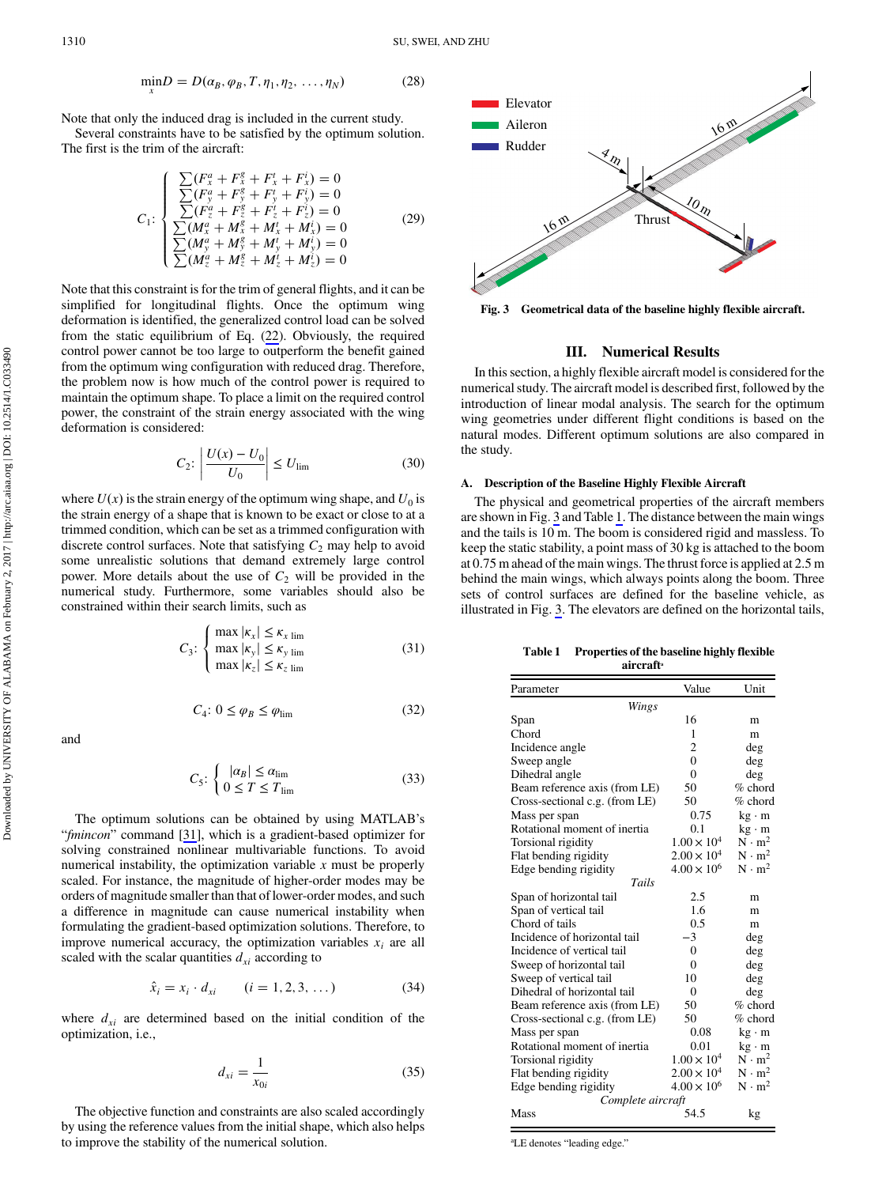$$
\min D = D(\alpha_B, \varphi_B, T, \eta_1, \eta_2, \dots, \eta_N)
$$
 (28)

Note that only the induced drag is included in the current study.

Several constraints have to be satisfied by the optimum solution. The first is the trim of the aircraft:

$$
C_{1}: \begin{cases} \sum (F_{x}^{a} + F_{x}^{g} + F_{x}^{t} + F_{x}^{t}) = 0\\ \sum (F_{y}^{a} + F_{y}^{g} + F_{y}^{t} + F_{y}^{t}) = 0\\ \sum (F_{z}^{a} + F_{z}^{g} + F_{z}^{t} + F_{z}^{t}) = 0\\ \sum (M_{x}^{a} + M_{x}^{g} + M_{x}^{t} + M_{y}^{t}) = 0\\ \sum (M_{y}^{a} + M_{y}^{g} + M_{y}^{t} + M_{y}^{t}) = 0\\ \sum (M_{z}^{a} + M_{z}^{g} + M_{z}^{t} + M_{z}^{t}) = 0 \end{cases}
$$
(29)

Note that this constraint is for the trim of general flights, and it can be simplified for longitudinal flights. Once the optimum wing deformation is identified, the generalized control load can be solved from the static equilibrium of Eq. [\(22](#page-4-0)). Obviously, the required control power cannot be too large to outperform the benefit gained from the optimum wing configuration with reduced drag. Therefore, the problem now is how much of the control power is required to maintain the optimum shape. To place a limit on the required control power, the constraint of the strain energy associated with the wing deformation is considered:

$$
C_2: \left| \frac{U(x) - U_0}{U_0} \right| \le U_{\lim} \tag{30}
$$

where  $U(x)$  is the strain energy of the optimum wing shape, and  $U_0$  is the strain energy of a shape that is known to be exact or close to at a trimmed condition, which can be set as a trimmed configuration with discrete control surfaces. Note that satisfying  $C_2$  may help to avoid some unrealistic solutions that demand extremely large control power. More details about the use of  $C_2$  will be provided in the numerical study. Furthermore, some variables should also be constrained within their search limits, such as

$$
C_3: \begin{cases} \max |\kappa_x| \le \kappa_{x \text{ lim}} \\ \max |\kappa_y| \le \kappa_{y \text{ lim}} \\ \max |\kappa_z| \le \kappa_{z \text{ lim}} \end{cases}
$$
(31)

$$
C_4: 0 \le \varphi_B \le \varphi_{\text{lim}} \tag{32}
$$

and

$$
C_5: \begin{cases} |\alpha_B| \le \alpha_{\text{lim}}\\ 0 \le T \le T_{\text{lim}} \end{cases}
$$
 (33)

The optimum solutions can be obtained by using MATLAB's "fmincon" command [[31\]](#page-11-0), which is a gradient-based optimizer for solving constrained nonlinear multivariable functions. To avoid numerical instability, the optimization variable  $x$  must be properly scaled. For instance, the magnitude of higher-order modes may be orders of magnitude smaller than that of lower-order modes, and such a difference in magnitude can cause numerical instability when formulating the gradient-based optimization solutions. Therefore, to improve numerical accuracy, the optimization variables  $x_i$  are all scaled with the scalar quantities  $d_{xi}$  according to

$$
\hat{x}_i = x_i \cdot d_{xi} \qquad (i = 1, 2, 3, \dots)
$$
 (34)

where  $d_{xi}$  are determined based on the initial condition of the optimization, i.e.,

$$
d_{xi} = \frac{1}{x_{0i}}\tag{35}
$$

The objective function and constraints are also scaled accordingly by using the reference values from the initial shape, which also helps to improve the stability of the numerical solution.



Fig. 3 Geometrical data of the baseline highly flexible aircraft.

## III. Numerical Results

In this section, a highly flexible aircraft model is considered for the numerical study. The aircraft model is described first, followed by the introduction of linear modal analysis. The search for the optimum wing geometries under different flight conditions is based on the natural modes. Different optimum solutions are also compared in the study.

## A. Description of the Baseline Highly Flexible Aircraft

The physical and geometrical properties of the aircraft members are shown in Fig. 3 and Table 1. The distance between the main wings and the tails is 10 m. The boom is considered rigid and massless. To keep the static stability, a point mass of 30 kg is attached to the boom at 0.75 m ahead of the main wings. The thrust force is applied at 2.5 m behind the main wings, which always points along the boom. Three sets of control surfaces are defined for the baseline vehicle, as illustrated in Fig. 3. The elevators are defined on the horizontal tails,

| <b>Table 1</b> | Properties of the baseline highly flexible |
|----------------|--------------------------------------------|
|                | aircraft <sup>®</sup>                      |

| Parameter                      | Value                | Unit          |
|--------------------------------|----------------------|---------------|
| Wings                          |                      |               |
| Span                           | 16                   | m             |
| Chord                          | 1                    | m             |
| Incidence angle                | $\overline{2}$       | deg           |
| Sweep angle                    | $\theta$             | deg           |
| Dihedral angle                 | $\theta$             | deg           |
| Beam reference axis (from LE)  | 50                   | % chord       |
| Cross-sectional c.g. (from LE) | 50                   | % chord       |
| Mass per span                  | 0.75                 | $kg \cdot m$  |
| Rotational moment of inertia   | 0.1                  | $kg \cdot m$  |
| Torsional rigidity             | $1.00 \times 10^{4}$ | $N \cdot m^2$ |
| Flat bending rigidity          | $2.00 \times 10^{4}$ | $N \cdot m^2$ |
| Edge bending rigidity          | $4.00 \times 10^{6}$ | $N \cdot m^2$ |
| Tails                          |                      |               |
| Span of horizontal tail        | 2.5                  | m             |
| Span of vertical tail          | 1.6                  | m             |
| Chord of tails                 | 0.5                  | m             |
| Incidence of horizontal tail   | $-3$                 | deg           |
| Incidence of vertical tail     | $\theta$             | deg           |
| Sweep of horizontal tail       | $\theta$             | deg           |
| Sweep of vertical tail         | 10                   | deg           |
| Dihedral of horizontal tail    | $\theta$             | deg           |
| Beam reference axis (from LE)  | 50                   | % chord       |
| Cross-sectional c.g. (from LE) | 50                   | $%$ chord     |
| Mass per span                  | 0.08                 | $kg \cdot m$  |
| Rotational moment of inertia   | 0.01                 | $kg \cdot m$  |
| Torsional rigidity             | $1.00 \times 10^{4}$ | $N \cdot m^2$ |
| Flat bending rigidity          | $2.00 \times 10^{4}$ | $N \cdot m^2$ |
| Edge bending rigidity          | $4.00 \times 10^{6}$ | $N \cdot m^2$ |
| Complete aircraft              |                      |               |
| Mass                           | 54.5                 | kg            |

a LE denotes "leading edge."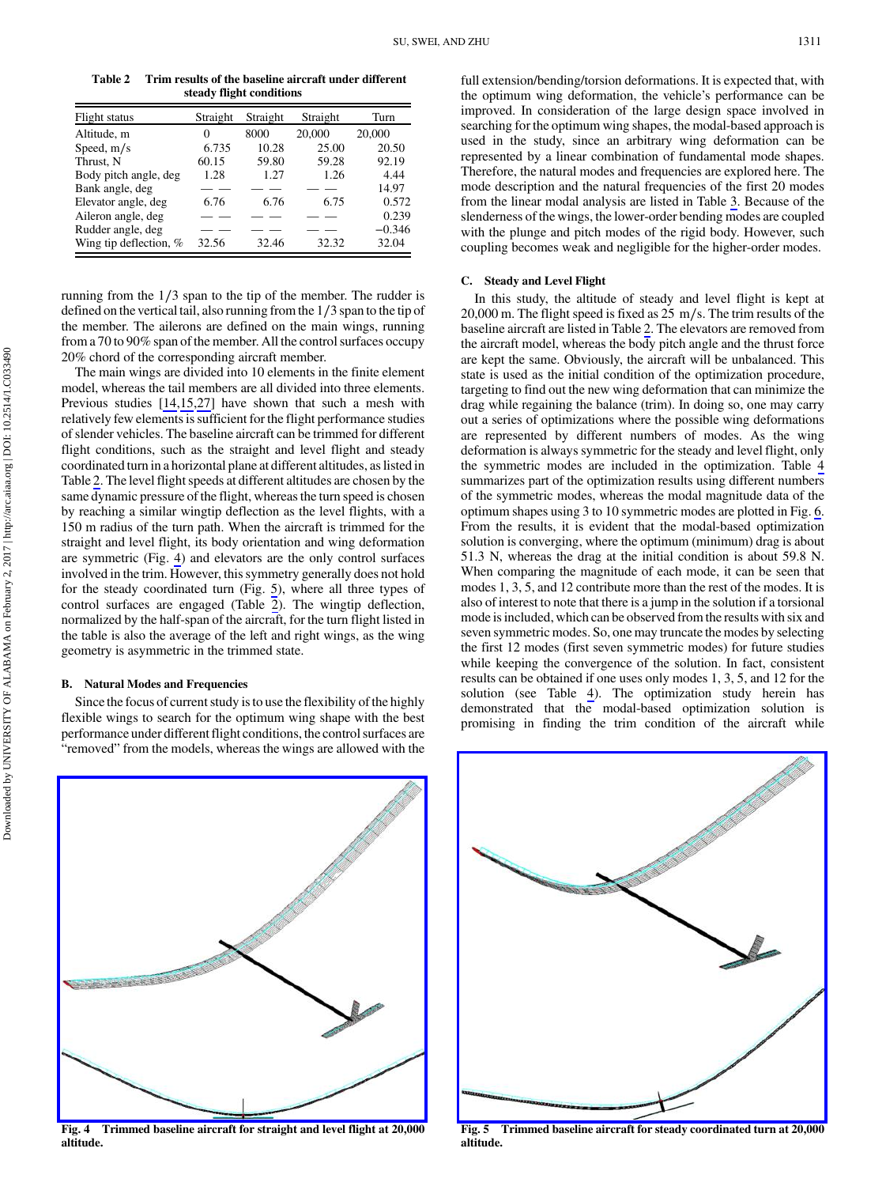<span id="page-6-0"></span>Table 2 Trim results of the baseline aircraft under different steady flight conditions

| Flight status          | Straight | Straight | Straight | Turn     |
|------------------------|----------|----------|----------|----------|
| Altitude, m            | 0        | 8000     | 20,000   | 20,000   |
| Speed, $m/s$           | 6.735    | 10.28    | 25.00    | 20.50    |
| Thrust, N              | 60.15    | 59.80    | 59.28    | 92.19    |
| Body pitch angle, deg  | 1.28     | 1.27     | 1.26     | 4.44     |
| Bank angle, deg        |          |          |          | 14.97    |
| Elevator angle, deg    | 6.76     | 6.76     | 6.75     | 0.572    |
| Aileron angle, deg     |          |          |          | 0.239    |
| Rudder angle, deg      |          |          |          | $-0.346$ |
| Wing tip deflection, % | 32.56    | 32.46    | 32.32    | 32.04    |

running from the 1∕3 span to the tip of the member. The rudder is defined on the vertical tail, also running from the 1∕3 span to the tip of the member. The ailerons are defined on the main wings, running from a 70 to 90% span of the member. All the control surfaces occupy 20% chord of the corresponding aircraft member.

The main wings are divided into 10 elements in the finite element model, whereas the tail members are all divided into three elements. Previous studies [[14,](#page-10-0)[15,27](#page-11-0)] have shown that such a mesh with relatively few elements is sufficient for the flight performance studies of slender vehicles. The baseline aircraft can be trimmed for different flight conditions, such as the straight and level flight and steady coordinated turn in a horizontal plane at different altitudes, as listed in Table 2. The level flight speeds at different altitudes are chosen by the same dynamic pressure of the flight, whereas the turn speed is chosen by reaching a similar wingtip deflection as the level flights, with a 150 m radius of the turn path. When the aircraft is trimmed for the straight and level flight, its body orientation and wing deformation are symmetric (Fig. 4) and elevators are the only control surfaces involved in the trim. However, this symmetry generally does not hold for the steady coordinated turn (Fig. 5), where all three types of control surfaces are engaged (Table 2). The wingtip deflection, normalized by the half-span of the aircraft, for the turn flight listed in the table is also the average of the left and right wings, as the wing geometry is asymmetric in the trimmed state.

## B. Natural Modes and Frequencies

Since the focus of current study is to use the flexibility of the highly flexible wings to search for the optimum wing shape with the best performance under different flight conditions, the control surfaces are "removed" from the models, whereas the wings are allowed with the full extension/bending/torsion deformations. It is expected that, with the optimum wing deformation, the vehicle's performance can be improved. In consideration of the large design space involved in searching for the optimum wing shapes, the modal-based approach is used in the study, since an arbitrary wing deformation can be represented by a linear combination of fundamental mode shapes. Therefore, the natural modes and frequencies are explored here. The mode description and the natural frequencies of the first 20 modes from the linear modal analysis are listed in Table [3.](#page-7-0) Because of the slenderness of the wings, the lower-order bending modes are coupled with the plunge and pitch modes of the rigid body. However, such coupling becomes weak and negligible for the higher-order modes.

## C. Steady and Level Flight

In this study, the altitude of steady and level flight is kept at 20,000 m. The flight speed is fixed as 25 m∕s. The trim results of the baseline aircraft are listed in Table 2. The elevators are removed from the aircraft model, whereas the body pitch angle and the thrust force are kept the same. Obviously, the aircraft will be unbalanced. This state is used as the initial condition of the optimization procedure, targeting to find out the new wing deformation that can minimize the drag while regaining the balance (trim). In doing so, one may carry out a series of optimizations where the possible wing deformations are represented by different numbers of modes. As the wing deformation is always symmetric for the steady and level flight, only the symmetric modes are included in the optimization. Table [4](#page-8-0) summarizes part of the optimization results using different numbers of the symmetric modes, whereas the modal magnitude data of the optimum shapes using 3 to 10 symmetric modes are plotted in Fig. [6](#page-8-0). From the results, it is evident that the modal-based optimization solution is converging, where the optimum (minimum) drag is about 51.3 N, whereas the drag at the initial condition is about 59.8 N. When comparing the magnitude of each mode, it can be seen that modes 1, 3, 5, and 12 contribute more than the rest of the modes. It is also of interest to note that there is a jump in the solution if a torsional mode is included, which can be observed from the results with six and seven symmetric modes. So, one may truncate the modes by selecting the first 12 modes (first seven symmetric modes) for future studies while keeping the convergence of the solution. In fact, consistent results can be obtained if one uses only modes 1, 3, 5, and 12 for the solution (see Table [4](#page-8-0)). The optimization study herein has demonstrated that the modal-based optimization solution is promising in finding the trim condition of the aircraft while



Fig. 4 Trimmed baseline aircraft for straight and level flight at 20,000 altitude.



Fig. 5 Trimmed baseline aircraft for steady coordinated turn at 20,000 altitude.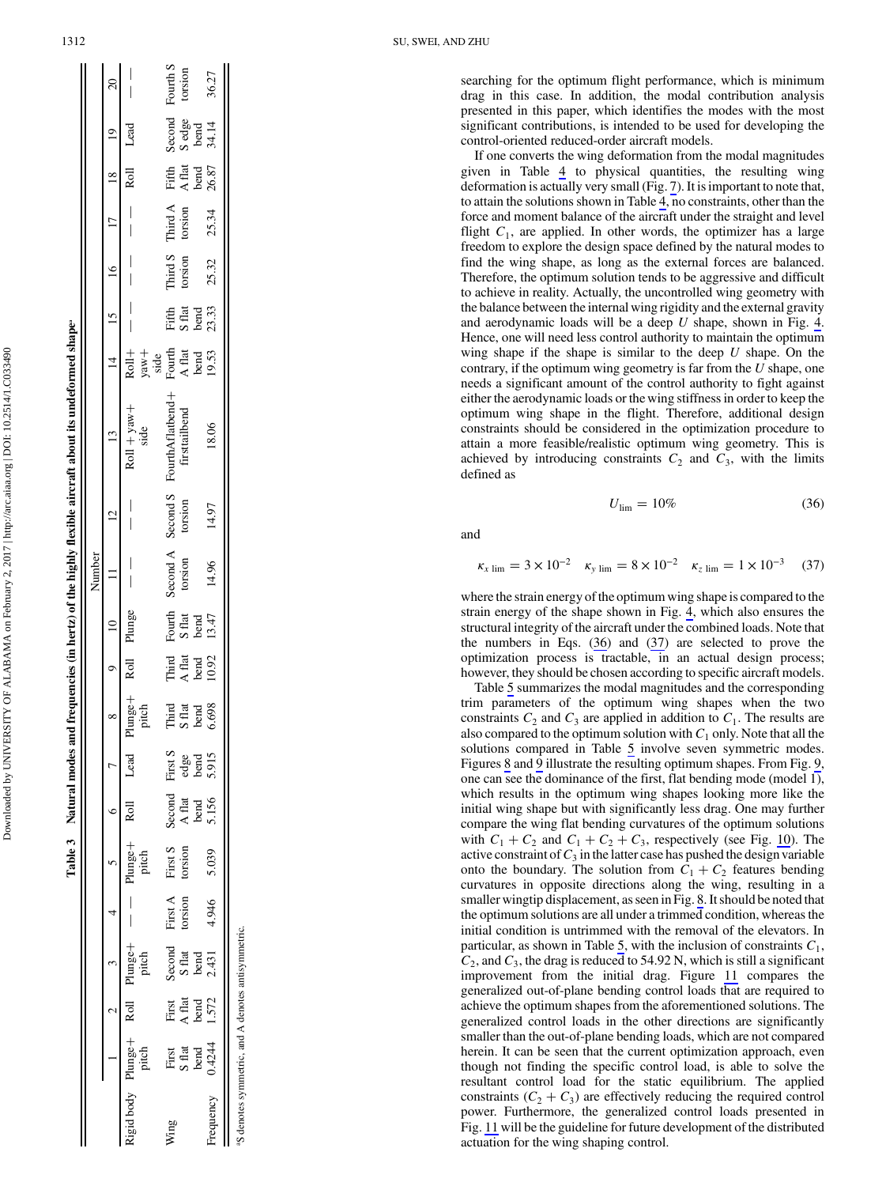|             |                                     |                                                                                     |                                     |                                       |                    |                                   |                                  |                                  |                                   |                                     | Number              |                     |                                   |                                                                                     |                          |                    |                 |                                  |                                  |                     |
|-------------|-------------------------------------|-------------------------------------------------------------------------------------|-------------------------------------|---------------------------------------|--------------------|-----------------------------------|----------------------------------|----------------------------------|-----------------------------------|-------------------------------------|---------------------|---------------------|-----------------------------------|-------------------------------------------------------------------------------------|--------------------------|--------------------|-----------------|----------------------------------|----------------------------------|---------------------|
|             |                                     |                                                                                     |                                     |                                       |                    |                                   |                                  |                                  |                                   |                                     |                     |                     |                                   |                                                                                     | $14$ 15 16               |                    |                 | $\frac{18}{18}$                  | $\frac{1}{2}$                    | $\overline{c}$      |
| igid body P | pitch<br>$P$ lunge $+$              |                                                                                     | Roll Plunge+<br>pitch               | $\begin{array}{c}   \\   \end{array}$ | Plunge+<br>pitch   | Roll                              | Lead                             | Plunge+<br>pitch                 |                                   | Roll Plunge                         |                     |                     | $Roll + yaw +$ side               |                                                                                     |                          |                    |                 | Roll                             | Lead                             |                     |
| Ving        | First<br>S flat<br>S flat<br>O.4244 | $\begin{array}{l} \rm{First} \\ \rm{A~flat} \\ \rm{bend} \\ \rm{1.572} \end{array}$ | Second<br>S flat<br>bend<br>$2.431$ | First A torsion                       | First S<br>torsion | Second<br>A flat<br>bend<br>5.156 | First S<br>edge<br>bend<br>5.915 | Third<br>S flat<br>bend<br>6.698 | Third<br>A flat<br>LO.92<br>10.92 | Fourth<br>S flat<br>bend<br>$13.47$ | Second A<br>torsion | Second S<br>torsion | FourthAflatbend+<br>firsttailbend | $R$ oll $+$<br>yaw +<br>side<br>Fourth<br>A flat<br>A flat<br>bend<br>bend<br>19.53 | Fifth<br>S flat<br>23.33 | Third S<br>torsion | Third A torsion | Fifth<br>A flat<br>bend<br>26.87 | Second<br>Sedge<br>bend<br>34.14 | Fourth S<br>torsion |
| requency    |                                     |                                                                                     |                                     | 4.946                                 | 5.039              |                                   |                                  |                                  |                                   |                                     | 14.96               | 14.97               | 18.06                             |                                                                                     |                          | 25.32              | 25.34           |                                  |                                  | 36.27               |

Table 3 Natural modes and frequencies (in hertz) of the highly flexible aircraft about its undeformed shapea

Table 3 Natural modes and frequencies (in hertz) of the highly flexible aircraft about its undeformed shape

Downloaded by UNIVERSITY OF ALABAMA on February 2, 2017 | http://arc.aiaa.org | DOI: 10.2514/1.C033490

Downloaded by UNIVERSITY OF ALABAMA on February 2, 2017 | http://arc.aiaa.org | DOI: 10.2514/1.C033490

aS denotes symmetric, and A denotes antisymmetric. S denotes symmetric, and A denotes antisymmetric searching for the optimum flight performance, which is minimum drag in this case. In addition, the modal contribution analysis presented in this paper, which identifies the modes with the most significant contributions, is intended to be used for developing the control-oriented reduced-order aircraft models.

If one converts the wing deformation from the modal magnitudes given in Table [4](#page-8-0) to physical quantities, the resulting wing deformation is actually very small (Fig. [7\)](#page-8-0). It is important to note that, to attain the solutions shown in Table [4,](#page-8-0) no constraints, other than the force and moment balance of the aircraft under the straight and level flight  $C_1$ , are applied. In other words, the optimizer has a large freedom to explore the design space defined by the natural modes to find the wing shape, as long as the external forces are balanced. Therefore, the optimum solution tends to be aggressive and difficult to achieve in reality. Actually, the uncontrolled wing geometry with the balance between the internal wing rigidity and the external gravity and aerodynamic loads will be a deep U shape, shown in Fig. [4](#page-6-0). Hence, one will need less control authority to maintain the optimum wing shape if the shape is similar to the deep  $U$  shape. On the contrary, if the optimum wing geometry is far from the  $U$  shape, one needs a significant amount of the control authority to fight against either the aerodynamic loads or the wing stiffness in order to keep the optimum wing shape in the flight. Therefore, additional design constraints should be considered in the optimization procedure to attain a more feasible/realistic optimum wing geometry. This is achieved by introducing constraints  $C_2$  and  $C_3$ , with the limits defined as

$$
U_{\rm lim} = 10\% \tag{36}
$$

and

$$
\kappa_{x \lim} = 3 \times 10^{-2} \quad \kappa_{y \lim} = 8 \times 10^{-2} \quad \kappa_{z \lim} = 1 \times 10^{-3} \quad (37)
$$

where the strain energy of the optimum wing shape is compared to the strain energy of the shape shown in Fig. [4,](#page-6-0) which also ensures the structural integrity of the aircraft under the combined loads. Note that the numbers in Eqs. (36) and (37) are selected to prove the optimization process is tractable, in an actual design process; however, they should be chosen according to specific aircraft models.

Table [5](#page-8-0) summarizes the modal magnitudes and the corresponding trim parameters of the optimum wing shapes when the two constraints  $C_2$  and  $C_3$  are applied in addition to  $C_1$ . The results are also compared to the optimum solution with  $C_1$  only. Note that all the solutions compared in Table [5](#page-8-0) involve seven symmetric modes. Figures [8](#page-9-0) and [9](#page-9-0) illustrate the resulting optimum shapes. From Fig. [9](#page-9-0), one can see the dominance of the first, flat bending mode (model 1), which results in the optimum wing shapes looking more like the initial wing shape but with significantly less drag. One may further compare the wing flat bending curvatures of the optimum solutions with  $C_1 + C_2$  and  $C_1 + C_2 + C_3$ , respectively (see Fig. [10](#page-9-0)). The active constraint of  $C_3$  in the latter case has pushed the design variable onto the boundary. The solution from  $C_1 + C_2$  features bending curvatures in opposite directions along the wing, resulting in a smaller wingtip displacement, as seen in Fig. [8.](#page-9-0) It should be noted that the optimum solutions are all under a trimmed condition, whereas the initial condition is untrimmed with the removal of the elevators. In particular, as shown in Table [5](#page-8-0), with the inclusion of constraints  $C_1$ ,  $C_2$ , and  $C_3$ , the drag is reduced to 54.92 N, which is still a significant improvement from the initial drag. Figure [11](#page-9-0) compares the generalized out-of-plane bending control loads that are required to achieve the optimum shapes from the aforementioned solutions. The generalized control loads in the other directions are significantly smaller than the out-of-plane bending loads, which are not compared herein. It can be seen that the current optimization approach, even though not finding the specific control load, is able to solve the resultant control load for the static equilibrium. The applied constraints  $(C_2 + C_3)$  are effectively reducing the required control power. Furthermore, the generalized control loads presented in Fig. [11](#page-9-0) will be the guideline for future development of the distributed actuation for the wing shaping control.

<span id="page-7-0"></span> $\mathbf{H}$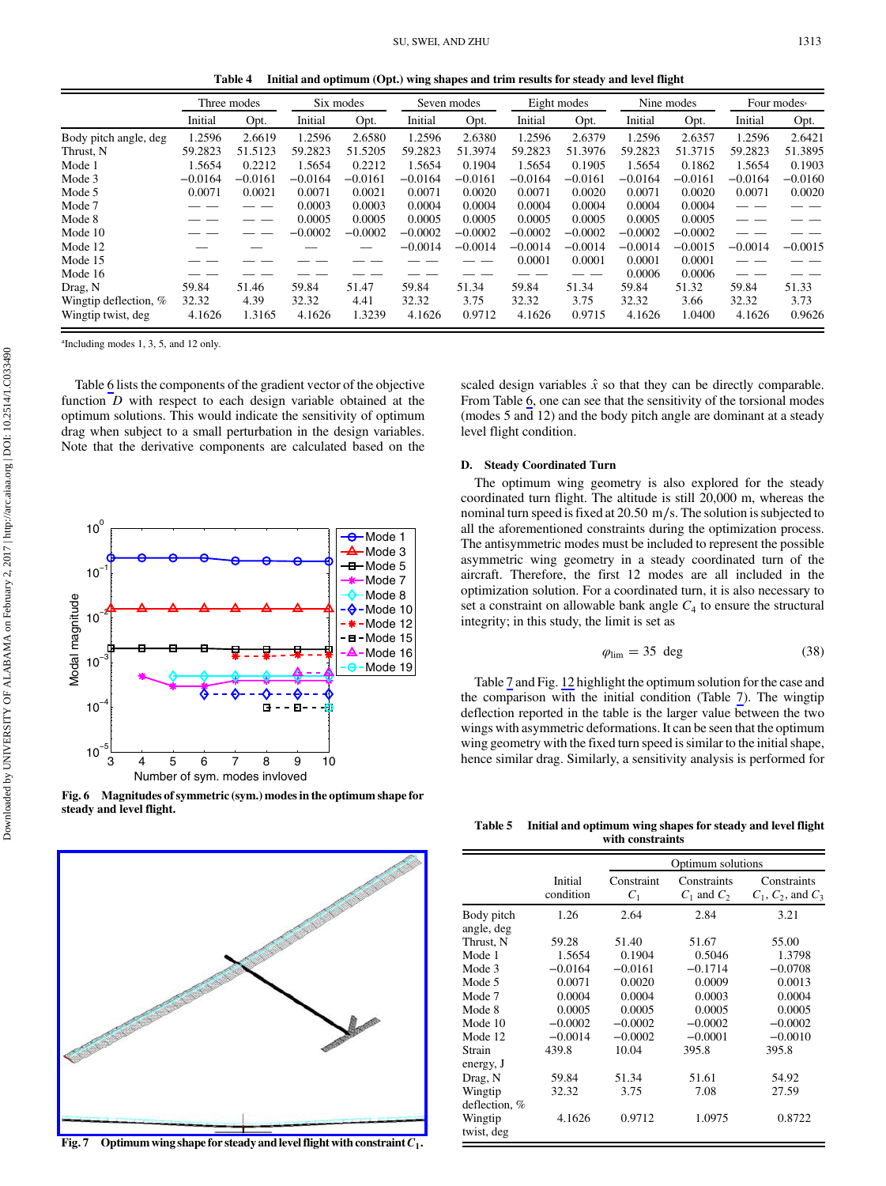Table 4 Initial and optimum (Opt.) wing shapes and trim results for steady and level flight

<span id="page-8-0"></span>

|                       |           | Three modes |           | Six modes |           | Seven modes |           | Eight modes |           | Nine modes |           | Four modes <sup>a</sup> |
|-----------------------|-----------|-------------|-----------|-----------|-----------|-------------|-----------|-------------|-----------|------------|-----------|-------------------------|
|                       | Initial   | Opt.        | Initial   | Opt.      | Initial   | Opt.        | Initial   | Opt.        | Initial   | Opt.       | Initial   | Opt.                    |
| Body pitch angle, deg | 1.2596    | 2.6619      | 1.2596    | 2.6580    | 1.2596    | 2.6380      | 1.2596    | 2.6379      | 1.2596    | 2.6357     | 1.2596    | 2.6421                  |
| Thrust, N             | 59.2823   | 51.5123     | 59.2823   | 51.5205   | 59.2823   | 51.3974     | 59.2823   | 51.3976     | 59.2823   | 51.3715    | 59.2823   | 51.3895                 |
| Mode 1                | 1.5654    | 0.2212      | 1.5654    | 0.2212    | 1.5654    | 0.1904      | 1.5654    | 0.1905      | 1.5654    | 0.1862     | 1.5654    | 0.1903                  |
| Mode 3                | $-0.0164$ | $-0.0161$   | $-0.0164$ | $-0.0161$ | $-0.0164$ | $-0.0161$   | $-0.0164$ | $-0.0161$   | $-0.0164$ | $-0.0161$  | $-0.0164$ | $-0.0160$               |
| Mode 5                | 0.0071    | 0.0021      | 0.0071    | 0.0021    | 0.0071    | 0.0020      | 0.0071    | 0.0020      | 0.0071    | 0.0020     | 0.0071    | 0.0020                  |
| Mode 7                |           |             | 0.0003    | 0.0003    | 0.0004    | 0.0004      | 0.0004    | 0.0004      | 0.0004    | 0.0004     |           |                         |
| Mode 8                |           |             | 0.0005    | 0.0005    | 0.0005    | 0.0005      | 0.0005    | 0.0005      | 0.0005    | 0.0005     |           |                         |
| Mode 10               |           |             | $-0.0002$ | $-0.0002$ | $-0.0002$ | $-0.0002$   | $-0.0002$ | $-0.0002$   | $-0.0002$ | $-0.0002$  |           |                         |
| Mode 12               |           |             |           |           | $-0.0014$ | $-0.0014$   | $-0.0014$ | $-0.0014$   | $-0.0014$ | $-0.0015$  | $-0.0014$ | $-0.0015$               |
| Mode 15               |           |             |           |           |           |             | 0.0001    | 0.0001      | 0.0001    | 0.0001     |           |                         |
| Mode 16               |           |             |           |           |           |             |           |             | 0.0006    | 0.0006     |           |                         |
| Drag, N               | 59.84     | 51.46       | 59.84     | 51.47     | 59.84     | 51.34       | 59.84     | 51.34       | 59.84     | 51.32      | 59.84     | 51.33                   |
| Wingtip deflection, % | 32.32     | 4.39        | 32.32     | 4.41      | 32.32     | 3.75        | 32.32     | 3.75        | 32.32     | 3.66       | 32.32     | 3.73                    |
| Wingtip twist, deg    | 4.1626    | 1.3165      | 4.1626    | 1.3239    | 4.1626    | 0.9712      | 4.1626    | 0.9715      | 4.1626    | 1.0400     | 4.1626    | 0.9626                  |

a Including modes 1, 3, 5, and 12 only.

Table [6](#page-9-0) lists the components of the gradient vector of the objective function D with respect to each design variable obtained at the optimum solutions. This would indicate the sensitivity of optimum drag when subject to a small perturbation in the design variables. Note that the derivative components are calculated based on the



Fig. 6 Magnitudes of symmetric (sym.) modes in the optimum shape for steady and level flight.



Fig. 7 Optimum wing shape for steady and level flight with constraint  $C_1$ .

scaled design variables  $\hat{x}$  so that they can be directly comparable. From Table [6,](#page-9-0) one can see that the sensitivity of the torsional modes (modes 5 and 12) and the body pitch angle are dominant at a steady level flight condition.

#### D. Steady Coordinated Turn

The optimum wing geometry is also explored for the steady coordinated turn flight. The altitude is still 20,000 m, whereas the nominal turn speed is fixed at 20.50 m∕s. The solution is subjected to all the aforementioned constraints during the optimization process. The antisymmetric modes must be included to represent the possible asymmetric wing geometry in a steady coordinated turn of the aircraft. Therefore, the first 12 modes are all included in the optimization solution. For a coordinated turn, it is also necessary to set a constraint on allowable bank angle  $C_4$  to ensure the structural integrity; in this study, the limit is set as

$$
\varphi_{\rm lim} = 35 \deg \tag{38}
$$

Table [7](#page-9-0) and Fig. [12](#page-10-0) highlight the optimum solution for the case and the comparison with the initial condition (Table [7\)](#page-9-0). The wingtip deflection reported in the table is the larger value between the two wings with asymmetric deformations. It can be seen that the optimum wing geometry with the fixed turn speed is similar to the initial shape, hence similar drag. Similarly, a sensitivity analysis is performed for

Table 5 Initial and optimum wing shapes for steady and level flight with constraints

|                          |                      |                     | Optimum solutions              |                                          |
|--------------------------|----------------------|---------------------|--------------------------------|------------------------------------------|
|                          | Initial<br>condition | Constraint<br>$C_1$ | Constraints<br>$C_1$ and $C_2$ | Constraints<br>$C_1$ , $C_2$ , and $C_3$ |
| Body pitch<br>angle, deg | 1.26                 | 2.64                | 2.84                           | 3.21                                     |
| Thrust, N                | 59.28                | 51.40               | 51.67                          | 55.00                                    |
| Mode 1                   | 1.5654               | 0.1904              | 0.5046                         | 1.3798                                   |
| Mode 3                   | $-0.0164$            | $-0.0161$           | $-0.1714$                      | $-0.0708$                                |
| Mode 5                   | 0.0071               | 0.0020              | 0.0009                         | 0.0013                                   |
| Mode 7                   | 0.0004               | 0.0004              | 0.0003                         | 0.0004                                   |
| Mode 8                   | 0.0005               | 0.0005              | 0.0005                         | 0.0005                                   |
| Mode 10                  | $-0.0002$            | $-0.0002$           | $-0.0002$                      | $-0.0002$                                |
| Mode 12                  | $-0.0014$            | $-0.0002$           | $-0.0001$                      | $-0.0010$                                |
| Strain                   | 439.8                | 10.04               | 395.8                          | 395.8                                    |
| energy, J                |                      |                     |                                |                                          |
| Drag, N                  | 59.84                | 51.34               | 51.61                          | 54.92                                    |
| Wingtip                  | 32.32                | 3.75                | 7.08                           | 27.59                                    |
| deflection, %            |                      |                     |                                |                                          |
| Wingtip                  | 4.1626               | 0.9712              | 1.0975                         | 0.8722                                   |
| twist, deg               |                      |                     |                                |                                          |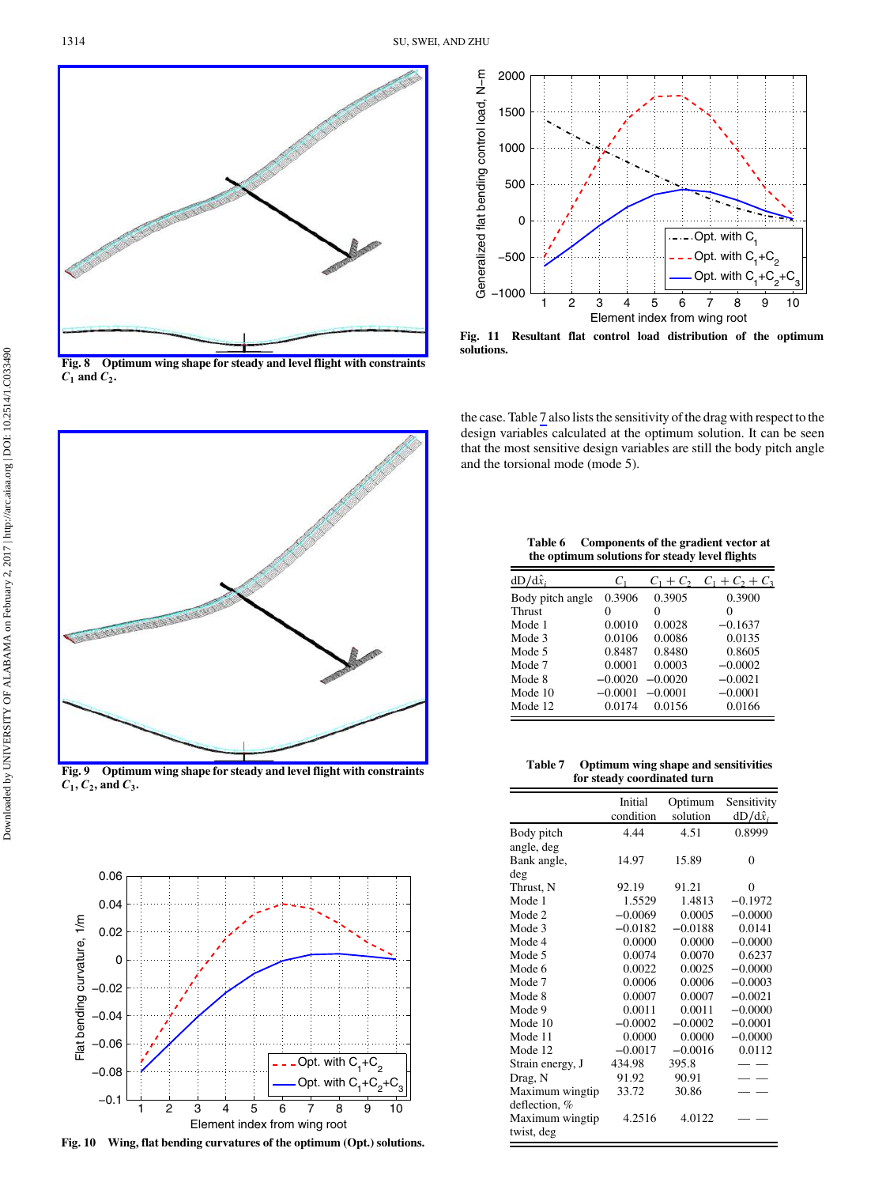<span id="page-9-0"></span>

Fig. 8 Optimum wing shape for steady and level flight with constraints  $\overline{C_1}$  and  $\overline{C_2}$ .



Fig. 9 Optimum wing shape for steady and level flight with constraints  $C_1$ ,  $C_2$ , and  $C_3$ .



Fig. 10 Wing, flat bending curvatures of the optimum (Opt.) solutions.



solutions.

the case. Table 7 also lists the sensitivity of the drag with respect to the design variables calculated at the optimum solution. It can be seen that the most sensitive design variables are still the body pitch angle and the torsional mode (mode 5).

| Table 6 | Components of the gradient vector at           |
|---------|------------------------------------------------|
|         | the optimum solutions for steady level flights |

| $dD/d\hat{x}_i$  | C1        | $C_1 + C_2$ | $C_1 + C_2 + C_3$ |
|------------------|-----------|-------------|-------------------|
| Body pitch angle | 0.3906    | 0.3905      | 0.3900            |
| <b>Thrust</b>    | 0         | 0           | 0                 |
| Mode 1           | 0.0010    | 0.0028      | $-0.1637$         |
| Mode 3           | 0.0106    | 0.0086      | 0.0135            |
| Mode 5           | 0.8487    | 0.8480      | 0.8605            |
| Mode 7           | 0.0001    | 0.0003      | $-0.0002$         |
| Mode 8           | $-0.0020$ | $-0.0020$   | $-0.0021$         |
| Mode 10          | $-0.0001$ | $-0.0001$   | $-0.0001$         |
| Mode 12          | 0.0174    | 0.0156      | 0.0166            |

Table 7 Optimum wing shape and sensitivities for steady coordinated turn

|                  | Initial<br>condition | Optimum<br>solution | Sensitivity<br>$dD/d\hat{x}_i$ |
|------------------|----------------------|---------------------|--------------------------------|
| Body pitch       | 4.44                 | 4.51                | 0.8999                         |
| angle, deg       |                      |                     |                                |
| Bank angle,      | 14.97                | 15.89               | $\theta$                       |
| deg              |                      |                     |                                |
| Thrust, N        | 92.19                | 91.21               | 0                              |
| Mode 1           | 1.5529               | 1.4813              | $-0.1972$                      |
| Mode 2           | $-0.0069$            | 0.0005              | $-0.0000$                      |
| Mode 3           | $-0.0182$            | $-0.0188$           | 0.0141                         |
| Mode 4           | 0.0000               | 0.0000              | $-0.0000$                      |
| Mode 5           | 0.0074               | 0.0070              | 0.6237                         |
| Mode 6           | 0.0022               | 0.0025              | $-0.0000$                      |
| Mode 7           | 0.0006               | 0.0006              | $-0.0003$                      |
| Mode 8           | 0.0007               | 0.0007              | $-0.0021$                      |
| Mode 9           | 0.0011               | 0.0011              | $-0.0000$                      |
| Mode 10          | $-0.0002$            | $-0.0002$           | $-0.0001$                      |
| Mode 11          | 0.0000               | 0.0000              | $-0.0000$                      |
| Mode 12          | $-0.0017$            | $-0.0016$           | 0.0112                         |
| Strain energy, J | 434.98               | 395.8               |                                |
| Drag, N          | 91.92                | 90.91               |                                |
| Maximum wingtip  | 33.72                | 30.86               |                                |
| deflection, %    |                      |                     |                                |
| Maximum wingtip  | 4.2516               | 4.0122              |                                |
| twist, deg       |                      |                     |                                |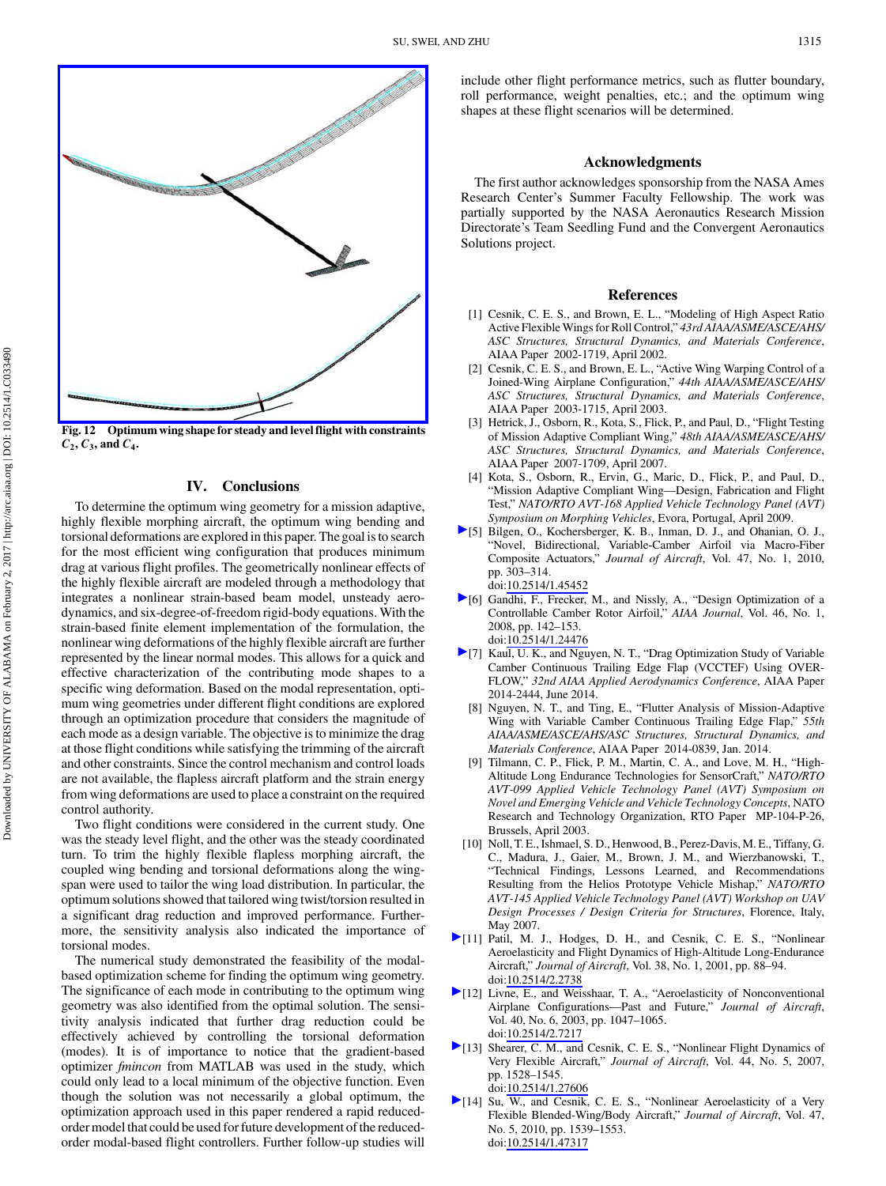<span id="page-10-0"></span>

Fig. 12 Optimum wing shape for steady and level flight with constraints  $C_2, C_3$ , and  $C_4$ .

## IV. Conclusions

To determine the optimum wing geometry for a mission adaptive, highly flexible morphing aircraft, the optimum wing bending and torsional deformations are explored in this paper. The goal is to search for the most efficient wing configuration that produces minimum drag at various flight profiles. The geometrically nonlinear effects of the highly flexible aircraft are modeled through a methodology that integrates a nonlinear strain-based beam model, unsteady aerodynamics, and six-degree-of-freedom rigid-body equations. With the strain-based finite element implementation of the formulation, the nonlinear wing deformations of the highly flexible aircraft are further represented by the linear normal modes. This allows for a quick and effective characterization of the contributing mode shapes to a specific wing deformation. Based on the modal representation, optimum wing geometries under different flight conditions are explored through an optimization procedure that considers the magnitude of each mode as a design variable. The objective is to minimize the drag at those flight conditions while satisfying the trimming of the aircraft and other constraints. Since the control mechanism and control loads are not available, the flapless aircraft platform and the strain energy from wing deformations are used to place a constraint on the required control authority.

Two flight conditions were considered in the current study. One was the steady level flight, and the other was the steady coordinated turn. To trim the highly flexible flapless morphing aircraft, the coupled wing bending and torsional deformations along the wingspan were used to tailor the wing load distribution. In particular, the optimum solutions showed that tailored wing twist/torsion resulted in a significant drag reduction and improved performance. Furthermore, the sensitivity analysis also indicated the importance of torsional modes.

The numerical study demonstrated the feasibility of the modalbased optimization scheme for finding the optimum wing geometry. The significance of each mode in contributing to the optimum wing geometry was also identified from the optimal solution. The sensitivity analysis indicated that further drag reduction could be effectively achieved by controlling the torsional deformation (modes). It is of importance to notice that the gradient-based optimizer fmincon from MATLAB was used in the study, which could only lead to a local minimum of the objective function. Even though the solution was not necessarily a global optimum, the optimization approach used in this paper rendered a rapid reducedorder model that could be used for future development of the reducedorder modal-based flight controllers. Further follow-up studies will include other flight performance metrics, such as flutter boundary, roll performance, weight penalties, etc.; and the optimum wing shapes at these flight scenarios will be determined.

#### Acknowledgments

The first author acknowledges sponsorship from the NASA Ames Research Center's Summer Faculty Fellowship. The work was partially supported by the NASA Aeronautics Research Mission Directorate's Team Seedling Fund and the Convergent Aeronautics Solutions project.

#### References

- [1] Cesnik, C. E. S., and Brown, E. L., "Modeling of High Aspect Ratio Active Flexible Wings for Roll Control," 43rd AIAA/ASME/ASCE/AHS/ ASC Structures, Structural Dynamics, and Materials Conference, AIAA Paper 2002-1719, April 2002.
- [2] Cesnik, C. E. S., and Brown, E. L., "Active Wing Warping Control of a Joined-Wing Airplane Configuration," 44th AIAA/ASME/ASCE/AHS/ ASC Structures, Structural Dynamics, and Materials Conference, AIAA Paper 2003-1715, April 2003.
- [3] Hetrick, J., Osborn, R., Kota, S., Flick, P., and Paul, D., "Flight Testing of Mission Adaptive Compliant Wing," 48th AIAA/ASME/ASCE/AHS/ ASC Structures, Structural Dynamics, and Materials Conference, AIAA Paper 2007-1709, April 2007.
- [4] Kota, S., Osborn, R., Ervin, G., Maric, D., Flick, P., and Paul, D., "Mission Adaptive Compliant Wing—Design, Fabrication and Flight Test," NATO/RTO AVT-168 Applied Vehicle Technology Panel (AVT) Symposium on Morphing Vehicles, Evora, Portugal, April 2009.
- [5] Bilgen, O., Kochersberger, K. B., Inman, D. J., and Ohanian, O. J., "Novel, Bidirectional, Variable-Camber Airfoil via Macro-Fiber Composite Actuators," Journal of Aircraft, Vol. 47, No. 1, 2010, pp. 303–314. doi:[10.2514/1.45452](http://dx.doi.org/10.2514/1.45452)
- [6] Gandhi, F., Frecker, M., and Nissly, A., "Design Optimization of a Controllable Camber Rotor Airfoil," AIAA Journal, Vol. 46, No. 1, 2008, pp. 142–153. doi:[10.2514/1.24476](http://dx.doi.org/10.2514/1.24476)
- [7] Kaul, U. K., and Nguyen, N. T., "Drag Optimization Study of Variable Camber Continuous Trailing Edge Flap (VCCTEF) Using OVER-FLOW," 32nd AIAA Applied Aerodynamics Conference, AIAA Paper 2014-2444, June 2014.
	- [8] Nguyen, N. T., and Ting, E., "Flutter Analysis of Mission-Adaptive Wing with Variable Camber Continuous Trailing Edge Flap," 55th AIAA/ASME/ASCE/AHS/ASC Structures, Structural Dynamics, and Materials Conference, AIAA Paper 2014-0839, Jan. 2014.
- [9] Tilmann, C. P., Flick, P. M., Martin, C. A., and Love, M. H., "High-Altitude Long Endurance Technologies for SensorCraft," NATO/RTO AVT-099 Applied Vehicle Technology Panel (AVT) Symposium on Novel and Emerging Vehicle and Vehicle Technology Concepts, NATO Research and Technology Organization, RTO Paper MP-104-P-26, Brussels, April 2003.
- [10] Noll, T. E., Ishmael, S. D., Henwood, B., Perez-Davis, M. E., Tiffany, G. C., Madura, J., Gaier, M., Brown, J. M., and Wierzbanowski, T., "Technical Findings, Lessons Learned, and Recommendations Resulting from the Helios Prototype Vehicle Mishap," NATO/RTO AVT-145 Applied Vehicle Technology Panel (AVT) Workshop on UAV Design Processes / Design Criteria for Structures, Florence, Italy, May 2007.
- [11] Patil, M. J., Hodges, D. H., and Cesnik, C. E. S., "Nonlinear Aeroelasticity and Flight Dynamics of High-Altitude Long-Endurance Aircraft," Journal of Aircraft, Vol. 38, No. 1, 2001, pp. 88–94. doi:[10.2514/2.2738](http://dx.doi.org/10.2514/2.2738)
- [12] Livne, E., and Weisshaar, T. A., "Aeroelasticity of Nonconventional Airplane Configurations—Past and Future," Journal of Aircraft, Vol. 40, No. 6, 2003, pp. 1047–1065. doi:[10.2514/2.7217](http://dx.doi.org/10.2514/2.7217)
- [13] Shearer, C. M., and Cesnik, C. E. S., "Nonlinear Flight Dynamics of Very Flexible Aircraft," Journal of Aircraft, Vol. 44, No. 5, 2007, pp. 1528–1545. doi:[10.2514/1.27606](http://dx.doi.org/10.2514/1.27606)
- [14] Su, W., and Cesnik, C. E. S., "Nonlinear Aeroelasticity of a Very Flexible Blended-Wing/Body Aircraft," Journal of Aircraft, Vol. 47, No. 5, 2010, pp. 1539–1553. doi:[10.2514/1.47317](http://dx.doi.org/10.2514/1.47317)